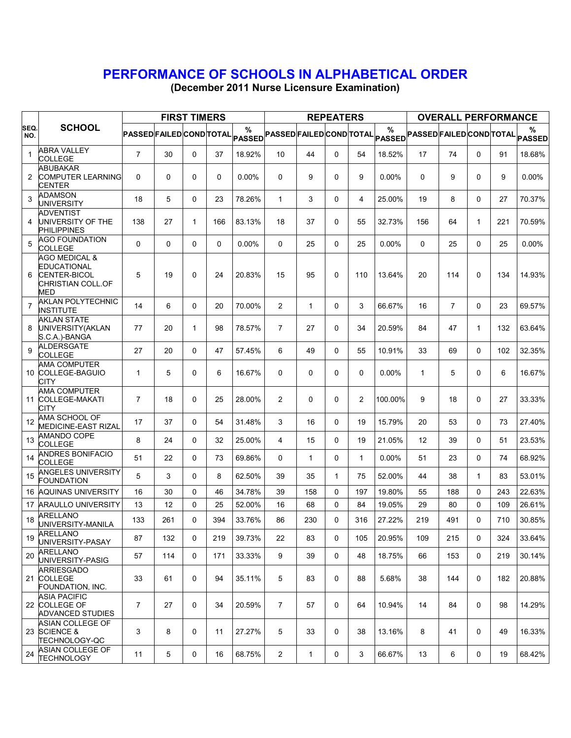## PERFORMANCE OF SCHOOLS IN ALPHABETICAL ORDER

(December 2011 Nurse Licensure Examination)

|                |                                                                                                   |                                 |             | <b>FIRST TIMERS</b> |          |                    |                |              | <b>REPEATERS</b> |              |          |                                                              | <b>OVERALL PERFORMANCE</b> |              |     |        |
|----------------|---------------------------------------------------------------------------------------------------|---------------------------------|-------------|---------------------|----------|--------------------|----------------|--------------|------------------|--------------|----------|--------------------------------------------------------------|----------------------------|--------------|-----|--------|
| SEQ.<br>NO.    | <b>SCHOOL</b>                                                                                     | <b>PASSED FAILED COND TOTAL</b> |             |                     |          | %<br><b>PASSED</b> |                |              |                  |              | %        | PASSEDFAILEDCONDTOTAL PASSED PASSED FAILED COND TOTAL PASSED |                            |              |     | %      |
| 1              | <b>ABRA VALLEY</b><br><b>COLLEGE</b>                                                              | $\overline{7}$                  | 30          | 0                   | 37       | 18.92%             | 10             | 44           | $\mathbf 0$      | 54           | 18.52%   | 17                                                           | 74                         | $\mathbf 0$  | 91  | 18.68% |
| 2              | <b>ABUBAKAR</b><br><b>COMPUTER LEARNING</b><br>CENTER                                             | 0                               | $\mathbf 0$ | 0                   | 0        | 0.00%              | 0              | 9            | 0                | 9            | 0.00%    | 0                                                            | 9                          | $\mathbf 0$  | 9   | 0.00%  |
| 3              | <b>ADAMSON</b><br>UNIVERSITY                                                                      | 18                              | 5           | 0                   | 23       | 78.26%             | $\mathbf{1}$   | 3            | 0                | 4            | 25.00%   | 19                                                           | 8                          | $\mathbf 0$  | 27  | 70.37% |
| 4              | ADVENTIST<br>UNIVERSITY OF THE<br><b>PHILIPPINES</b>                                              | 138                             | 27          | $\mathbf{1}$        | 166      | 83.13%             | 18             | 37           | 0                | 55           | 32.73%   | 156                                                          | 64                         | $\mathbf{1}$ | 221 | 70.59% |
| 5              | <b>AGO FOUNDATION</b><br><b>COLLEGE</b>                                                           | 0                               | 0           | 0                   | $\Omega$ | 0.00%              | 0              | 25           | 0                | 25           | 0.00%    | 0                                                            | 25                         | $\mathbf 0$  | 25  | 0.00%  |
| 6              | <b>AGO MEDICAL &amp;</b><br><b>EDUCATIONAL</b><br><b>CENTER-BICOL</b><br>CHRISTIAN COLL.OF<br>MED | 5                               | 19          | 0                   | 24       | 20.83%             | 15             | 95           | 0                | 110          | 13.64%   | 20                                                           | 114                        | 0            | 134 | 14.93% |
| $\overline{7}$ | <b>AKLAN POLYTECHNIC</b><br><b>INSTITUTE</b>                                                      | 14                              | 6           | 0                   | 20       | 70.00%             | $\overline{2}$ | $\mathbf{1}$ | $\mathbf 0$      | 3            | 66.67%   | 16                                                           | $\overline{7}$             | $\Omega$     | 23  | 69.57% |
| 8              | <b>AKLAN STATE</b><br>UNIVERSITY (AKLAN<br>S.C.A.)-BANGA                                          | 77                              | 20          | 1                   | 98       | 78.57%             | $\overline{7}$ | 27           | 0                | 34           | 20.59%   | 84                                                           | 47                         | 1            | 132 | 63.64% |
| 9              | ALDERSGATE<br>COLLEGE                                                                             | 27                              | 20          | 0                   | 47       | 57.45%             | 6              | 49           | $\Omega$         | 55           | 10.91%   | 33                                                           | 69                         | $\Omega$     | 102 | 32.35% |
|                | <b>AMA COMPUTER</b><br>10 COLLEGE-BAGUIO<br>CITY                                                  | 1                               | 5           | 0                   | 6        | 16.67%             | 0              | 0            | 0                | 0            | $0.00\%$ | 1                                                            | 5                          | $\mathbf 0$  | 6   | 16.67% |
| 11             | <b>AMA COMPUTER</b><br><b>COLLEGE-MAKATI</b><br>CITY                                              | 7                               | 18          | 0                   | 25       | 28.00%             | $\overline{2}$ | 0            | 0                | 2            | 100.00%  | 9                                                            | 18                         | $\mathbf 0$  | 27  | 33.33% |
| 12             | AMA SCHOOL OF<br>MEDICINE-EAST RIZAL                                                              | 17                              | 37          | 0                   | 54       | 31.48%             | 3              | 16           | 0                | 19           | 15.79%   | 20                                                           | 53                         | 0            | 73  | 27.40% |
| 13             | <b>AMANDO COPE</b><br><b>COLLEGE</b>                                                              | 8                               | 24          | 0                   | 32       | 25.00%             | 4              | 15           | 0                | 19           | 21.05%   | 12                                                           | 39                         | $\Omega$     | 51  | 23.53% |
| 14             | <b>ANDRES BONIFACIO</b><br><b>COLLEGE</b>                                                         | 51                              | 22          | 0                   | 73       | 69.86%             | 0              | $\mathbf{1}$ | 0                | $\mathbf{1}$ | $0.00\%$ | 51                                                           | 23                         | $\mathbf 0$  | 74  | 68.92% |
| 15             | <b>ANGELES UNIVERSITY</b><br><b>FOUNDATION</b>                                                    | 5                               | 3           | 0                   | 8        | 62.50%             | 39             | 35           | $\mathbf{1}$     | 75           | 52.00%   | 44                                                           | 38                         | 1            | 83  | 53.01% |
| 16             | <b>AQUINAS UNIVERSITY</b>                                                                         | 16                              | 30          | 0                   | 46       | 34.78%             | 39             | 158          | 0                | 197          | 19.80%   | 55                                                           | 188                        | $\mathbf 0$  | 243 | 22.63% |
| 17             | <b>ARAULLO UNIVERSITY</b>                                                                         | 13                              | 12          | 0                   | 25       | 52.00%             | 16             | 68           | 0                | 84           | 19.05%   | 29                                                           | 80                         | $\Omega$     | 109 | 26.61% |
| 18             | <b>ARELLANO</b><br>UNIVERSITY-MANILA                                                              | 133                             | 261         | 0                   | 394      | 33.76%             | 86             | 230          | 0                | 316          | 27.22%   | 219                                                          | 491                        | 0            | 710 | 30.85% |
| 19             | ARELLANO<br>UNIVERSITY-PASAY                                                                      | 87                              | 132         | 0                   | 219      | 39.73%             | 22             | 83           | 0                | 105          | 20.95%   | 109                                                          | 215                        | 0            | 324 | 33.64% |
| 20             | ARELLANO<br>UNIVERSITY-PASIG                                                                      | 57                              | 114         | 0                   | 171      | 33.33%             | 9              | 39           | 0                | 48           | 18.75%   | 66                                                           | 153                        | 0            | 219 | 30.14% |
|                | ARRIESGADO<br>21 COLLEGE<br>FOUNDATION, INC.                                                      | 33                              | 61          | 0                   | 94       | 35.11%             | 5              | 83           | 0                | 88           | 5.68%    | 38                                                           | 144                        | 0            | 182 | 20.88% |
|                | <b>ASIA PACIFIC</b><br>22 COLLEGE OF<br>ADVANCED STUDIES                                          | $\overline{7}$                  | 27          | 0                   | 34       | 20.59%             | $\overline{7}$ | 57           | 0                | 64           | 10.94%   | 14                                                           | 84                         | $\mathbf 0$  | 98  | 14.29% |
|                | ASIAN COLLEGE OF<br>23 SCIENCE &<br>TECHNOLOGY-QC                                                 | 3                               | 8           | 0                   | 11       | 27.27%             | 5              | 33           | 0                | 38           | 13.16%   | 8                                                            | 41                         | 0            | 49  | 16.33% |
| 24             | ASIAN COLLEGE OF<br><b>TECHNOLOGY</b>                                                             | 11                              | 5           | 0                   | 16       | 68.75%             | $\overline{2}$ | $\mathbf{1}$ | 0                | 3            | 66.67%   | 13                                                           | 6                          | 0            | 19  | 68.42% |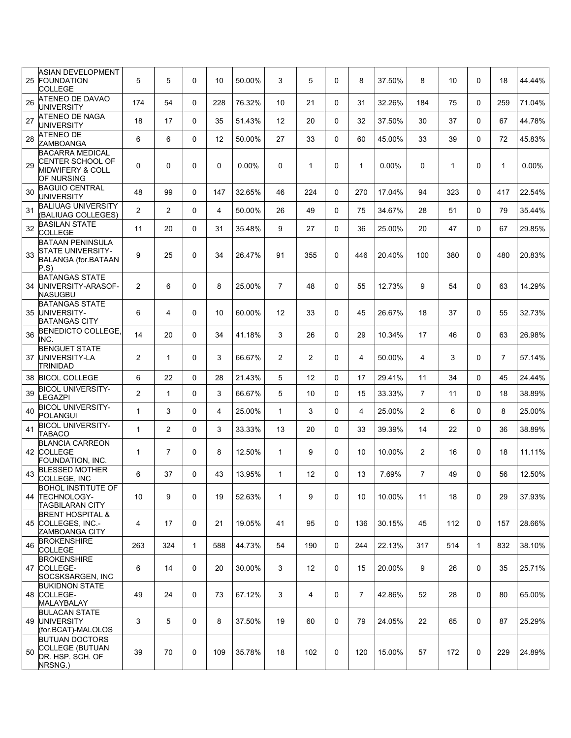| 25 | ASIAN DEVELOPMENT<br><b>FOUNDATION</b><br>COLLEGE                                              | 5              | 5              | 0            | 10             | 50.00% | 3              | 5              | 0           | 8              | 37.50%   | 8              | 10  | $\Omega$     | 18             | 44.44% |
|----|------------------------------------------------------------------------------------------------|----------------|----------------|--------------|----------------|--------|----------------|----------------|-------------|----------------|----------|----------------|-----|--------------|----------------|--------|
| 26 | ATENEO DE DAVAO<br><b>UNIVERSITY</b>                                                           | 174            | 54             | $\Omega$     | 228            | 76.32% | 10             | 21             | $\Omega$    | 31             | 32.26%   | 184            | 75  | $\Omega$     | 259            | 71.04% |
| 27 | <b>ATENEO DE NAGA</b><br><b>UNIVERSITY</b>                                                     | 18             | 17             | $\Omega$     | 35             | 51.43% | 12             | 20             | $\Omega$    | 32             | 37.50%   | 30             | 37  | $\Omega$     | 67             | 44.78% |
| 28 | <b>ATENEO DE</b><br>ZAMBOANGA                                                                  | 6              | 6              | 0            | 12             | 50.00% | 27             | 33             | $\Omega$    | 60             | 45.00%   | 33             | 39  | $\Omega$     | 72             | 45.83% |
| 29 | <b>BACARRA MEDICAL</b><br><b>CENTER SCHOOL OF</b><br><b>MIDWIFERY &amp; COLL</b><br>OF NURSING | 0              | 0              | 0            | 0              | 0.00%  | 0              | 1              | $\mathbf 0$ | $\mathbf{1}$   | $0.00\%$ | 0              | 1   | 0            | $\mathbf{1}$   | 0.00%  |
| 30 | <b>BAGUIO CENTRAL</b><br><b>UNIVERSITY</b>                                                     | 48             | 99             | 0            | 147            | 32.65% | 46             | 224            | $\Omega$    | 270            | 17.04%   | 94             | 323 | $\Omega$     | 417            | 22.54% |
| 31 | <b>BALIUAG UNIVERSITY</b><br>(BALIUAG COLLEGES)                                                | 2              | $\overline{2}$ | $\mathbf 0$  | $\overline{4}$ | 50.00% | 26             | 49             | $\Omega$    | 75             | 34.67%   | 28             | 51  | $\Omega$     | 79             | 35.44% |
| 32 | <b>BASILAN STATE</b><br><b>COLLEGE</b>                                                         | 11             | 20             | 0            | 31             | 35.48% | 9              | 27             | 0           | 36             | 25.00%   | 20             | 47  | $\mathbf{0}$ | 67             | 29.85% |
| 33 | <b>BATAAN PENINSULA</b><br>STATE UNIVERSITY-<br>BALANGA (for.BATAAN<br>P.S)                    | 9              | 25             | 0            | 34             | 26.47% | 91             | 355            | $\mathbf 0$ | 446            | 20.40%   | 100            | 380 | 0            | 480            | 20.83% |
|    | <b>BATANGAS STATE</b><br>34 UNIVERSITY-ARASOF-<br>NASUGBU                                      | $\overline{2}$ | 6              | 0            | 8              | 25.00% | $\overline{7}$ | 48             | 0           | 55             | 12.73%   | 9              | 54  | 0            | 63             | 14.29% |
|    | <b>BATANGAS STATE</b><br>35 UNIVERSITY-<br><b>BATANGAS CITY</b>                                | 6              | 4              | $\mathbf 0$  | 10             | 60.00% | 12             | 33             | 0           | 45             | 26.67%   | 18             | 37  | 0            | 55             | 32.73% |
| 36 | <b>BENEDICTO COLLEGE</b><br>INC.                                                               | 14             | 20             | 0            | 34             | 41.18% | 3              | 26             | 0           | 29             | 10.34%   | 17             | 46  | 0            | 63             | 26.98% |
|    | <b>BENGUET STATE</b><br>37 UNIVERSITY-LA<br><b>TRINIDAD</b>                                    | $\overline{2}$ | $\mathbf{1}$   | $\mathbf 0$  | 3              | 66.67% | $\overline{2}$ | $\overline{2}$ | 0           | 4              | 50.00%   | 4              | 3   | 0            | $\overline{7}$ | 57.14% |
|    | 38 BICOL COLLEGE                                                                               | 6              | 22             | 0            | 28             | 21.43% | 5              | 12             | 0           | 17             | 29.41%   | 11             | 34  | $\Omega$     | 45             | 24.44% |
| 39 | <b>BICOL UNIVERSITY-</b><br>LEGAZPI                                                            | $\overline{2}$ | $\mathbf{1}$   | 0            | 3              | 66.67% | 5              | 10             | 0           | 15             | 33.33%   | $\overline{7}$ | 11  | $\Omega$     | 18             | 38.89% |
| 40 | <b>BICOL UNIVERSITY-</b><br><b>POLANGUI</b>                                                    | 1              | 3              | 0            | 4              | 25.00% | $\mathbf{1}$   | 3              | $\Omega$    | 4              | 25.00%   | $\overline{2}$ | 6   | $\Omega$     | 8              | 25.00% |
| 41 | <b>BICOL UNIVERSITY-</b><br><b>TABACO</b>                                                      | $\mathbf{1}$   | $\overline{2}$ | 0            | 3              | 33.33% | 13             | 20             | 0           | 33             | 39.39%   | 14             | 22  | $\Omega$     | 36             | 38.89% |
|    | <b>BLANCIA CARREON</b><br>42 COLLEGE<br>FOUNDATION. INC.                                       | 1              | $\overline{7}$ | 0            | 8              | 12.50% | $\mathbf{1}$   | 9              | 0           | 10             | 10.00%   | $\overline{2}$ | 16  | $\Omega$     | 18             | 11.11% |
| 43 | <b>BLESSED MOTHER</b><br>COLLEGE, INC                                                          | 6              | 37             | 0            | 43             | 13.95% | $\mathbf{1}$   | 12             | 0           | 13             | 7.69%    | $\overline{7}$ | 49  | $\Omega$     | 56             | 12.50% |
|    | <b>BOHOL INSTITUTE OF</b><br>44 TECHNOLOGY-<br><b>TAGBILARAN CITY</b>                          | 10             | 9              | 0            | 19             | 52.63% | $\mathbf{1}$   | 9              | 0           | 10             | 10.00%   | 11             | 18  | 0            | 29             | 37.93% |
|    | <b>BRENT HOSPITAL &amp;</b><br>45 COLLEGES, INC.-<br>ZAMBOANGA CITY                            | 4              | 17             | 0            | 21             | 19.05% | 41             | 95             | $\mathbf 0$ | 136            | 30.15%   | 45             | 112 | 0            | 157            | 28.66% |
| 46 | <b>BROKENSHIRE</b><br><b>COLLEGE</b>                                                           | 263            | 324            | $\mathbf{1}$ | 588            | 44.73% | 54             | 190            | 0           | 244            | 22.13%   | 317            | 514 | $\mathbf{1}$ | 832            | 38.10% |
|    | <b>BROKENSHIRE</b><br>47 COLLEGE-<br>SOCSKSARGEN, INC                                          | 6              | 14             | 0            | 20             | 30.00% | 3              | 12             | $\mathbf 0$ | 15             | 20.00%   | 9              | 26  | $\Omega$     | 35             | 25.71% |
|    | <b>BUKIDNON STATE</b><br>48 COLLEGE-<br>MALAYBALAY                                             | 49             | 24             | 0            | 73             | 67.12% | 3              | $\overline{4}$ | 0           | $\overline{7}$ | 42.86%   | 52             | 28  | 0            | 80             | 65.00% |
|    | <b>BULACAN STATE</b><br>49 UNIVERSITY<br>(for.BCAT)-MALOLOS                                    | 3              | 5              | 0            | 8              | 37.50% | 19             | 60             | 0           | 79             | 24.05%   | 22             | 65  | 0            | 87             | 25.29% |
| 50 | <b>BUTUAN DOCTORS</b><br>COLLEGE (BUTUAN<br>DR. HSP. SCH. OF<br>NRSNG.)                        | 39             | 70             | 0            | 109            | 35.78% | 18             | 102            | 0           | 120            | 15.00%   | 57             | 172 | 0            | 229            | 24.89% |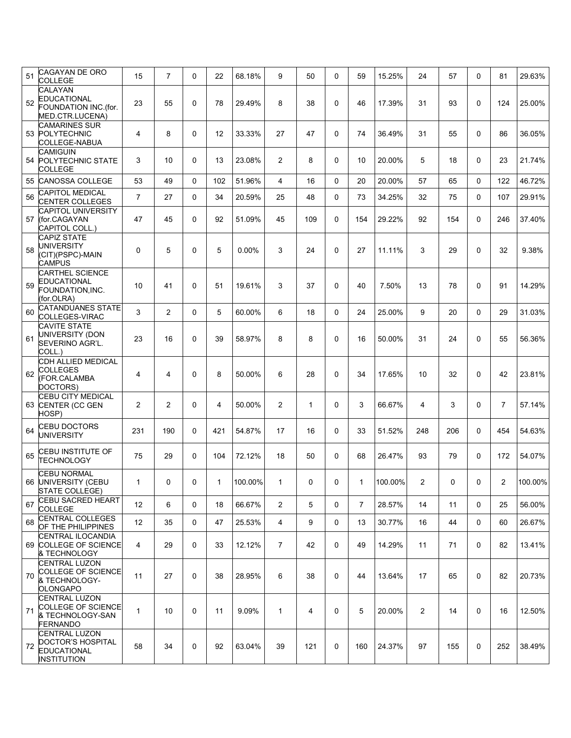| 51 | <b>CAGAYAN DE ORO</b><br><b>COLLEGE</b>                                               | 15             | $\overline{7}$ | 0 | 22  | 68.18%  | 9                     | 50           | 0           | 59  | 15.25%  | 24             | 57  | $\mathbf 0$ | 81  | 29.63%  |
|----|---------------------------------------------------------------------------------------|----------------|----------------|---|-----|---------|-----------------------|--------------|-------------|-----|---------|----------------|-----|-------------|-----|---------|
| 52 | CALAYAN<br><b>EDUCATIONAL</b><br>FOUNDATION INC.(for.<br>MED.CTR.LUCENA)              | 23             | 55             | 0 | 78  | 29.49%  | 8                     | 38           | 0           | 46  | 17.39%  | 31             | 93  | $\mathbf 0$ | 124 | 25.00%  |
|    | <b>CAMARINES SUR</b><br>53 POLYTECHNIC<br>COLLEGE-NABUA                               | 4              | 8              | 0 | 12  | 33.33%  | 27                    | 47           | $\mathbf 0$ | 74  | 36.49%  | 31             | 55  | $\mathbf 0$ | 86  | 36.05%  |
| 54 | <b>CAMIGUIN</b><br><b>POLYTECHNIC STATE</b><br><b>COLLEGE</b>                         | 3              | 10             | 0 | 13  | 23.08%  | $\overline{2}$        | 8            | $\mathbf 0$ | 10  | 20.00%  | 5              | 18  | $\Omega$    | 23  | 21.74%  |
| 55 | <b>CANOSSA COLLEGE</b>                                                                | 53             | 49             | 0 | 102 | 51.96%  | 4                     | 16           | 0           | 20  | 20.00%  | 57             | 65  | 0           | 122 | 46.72%  |
| 56 | <b>CAPITOL MEDICAL</b><br><b>CENTER COLLEGES</b>                                      | $\overline{7}$ | 27             | 0 | 34  | 20.59%  | 25                    | 48           | $\mathbf 0$ | 73  | 34.25%  | 32             | 75  | $\mathbf 0$ | 107 | 29.91%  |
| 57 | <b>CAPITOL UNIVERSITY</b><br>(for.CAGAYAN<br>CAPITOL COLL.)                           | 47             | 45             | 0 | 92  | 51.09%  | 45                    | 109          | $\mathbf 0$ | 154 | 29.22%  | 92             | 154 | $\mathbf 0$ | 246 | 37.40%  |
| 58 | <b>CAPIZ STATE</b><br>UNIVERSITY<br>(CIT)(PSPC)-MAIN<br><b>CAMPUS</b>                 | 0              | 5              | 0 | 5   | 0.00%   | 3                     | 24           | $\Omega$    | 27  | 11.11%  | 3              | 29  | $\Omega$    | 32  | 9.38%   |
| 59 | <b>CARTHEL SCIENCE</b><br><b>EDUCATIONAL</b><br>FOUNDATION, INC.<br>(for.OLRA)        | 10             | 41             | 0 | 51  | 19.61%  | 3                     | 37           | $\mathbf 0$ | 40  | 7.50%   | 13             | 78  | $\Omega$    | 91  | 14.29%  |
| 60 | <b>CATANDUANES STATE</b><br>COLLEGES-VIRAC                                            | 3              | $\overline{2}$ | 0 | 5   | 60.00%  | 6                     | 18           | $\mathbf 0$ | 24  | 25.00%  | 9              | 20  | 0           | 29  | 31.03%  |
| 61 | <b>CAVITE STATE</b><br>UNIVERSITY (DON<br>SEVERINO AGR'L.<br>COLL.)                   | 23             | 16             | 0 | 39  | 58.97%  | 8                     | 8            | $\mathbf 0$ | 16  | 50.00%  | 31             | 24  | $\Omega$    | 55  | 56.36%  |
| 62 | CDH ALLIED MEDICAL<br><b>COLLEGES</b><br>(FOR.CALAMBA<br>DOCTORS)                     | 4              | 4              | 0 | 8   | 50.00%  | 6                     | 28           | $\Omega$    | 34  | 17.65%  | 10             | 32  | $\Omega$    | 42  | 23.81%  |
| 63 | <b>CEBU CITY MEDICAL</b><br>CENTER (CC GEN<br>HOSP)                                   | 2              | 2              | 0 | 4   | 50.00%  | 2                     | $\mathbf{1}$ | $\mathbf 0$ | 3   | 66.67%  | 4              | 3   | $\mathbf 0$ | 7   | 57.14%  |
| 64 | <b>CEBU DOCTORS</b><br><b>UNIVERSITY</b>                                              | 231            | 190            | 0 | 421 | 54.87%  | 17                    | 16           | 0           | 33  | 51.52%  | 248            | 206 | $\Omega$    | 454 | 54.63%  |
| 65 | CEBU INSTITUTE OF<br><b>TECHNOLOGY</b>                                                | 75             | 29             | 0 | 104 | 72.12%  | 18                    | 50           | $\mathbf 0$ | 68  | 26.47%  | 93             | 79  | $\mathbf 0$ | 172 | 54.07%  |
|    | <b>CEBU NORMAL</b><br>66 UNIVERSITY (CEBU<br>STATE COLLEGE)                           | 1              | 0              | 0 | 1.  | 100.00% | 1                     | 0            | 0           | 1   | 100.00% | 2              | 0   | 0           | 2   | 100.00% |
| 67 | <b>CEBU SACRED HEART</b><br><b>COLLEGE</b>                                            | 12             | 6              | 0 | 18  | 66.67%  | $\mathbf{2}^{\prime}$ | 5            | 0           | 7   | 28.57%  | 14             | 11  | $\mathbf 0$ | 25  | 56.00%  |
| 68 | <b>CENTRAL COLLEGES</b><br>OF THE PHILIPPINES                                         | 12             | 35             | 0 | 47  | 25.53%  | 4                     | 9            | $\mathbf 0$ | 13  | 30.77%  | 16             | 44  | 0           | 60  | 26.67%  |
|    | <b>CENTRAL ILOCANDIA</b><br>69 COLLEGE OF SCIENCE<br>& TECHNOLOGY                     | 4              | 29             | 0 | 33  | 12.12%  | $\overline{7}$        | 42           | $\mathbf 0$ | 49  | 14.29%  | 11             | 71  | 0           | 82  | 13.41%  |
| 70 | <b>CENTRAL LUZON</b><br><b>COLLEGE OF SCIENCE</b><br>& TECHNOLOGY-<br><b>OLONGAPO</b> | 11             | 27             | 0 | 38  | 28.95%  | 6                     | 38           | $\mathbf 0$ | 44  | 13.64%  | 17             | 65  | $\mathbf 0$ | 82  | 20.73%  |
| 71 | <b>CENTRAL LUZON</b><br><b>COLLEGE OF SCIENCE</b><br>& TECHNOLOGY-SAN<br>FERNANDO     | $\mathbf{1}$   | 10             | 0 | 11  | 9.09%   | $\mathbf{1}$          | 4            | $\mathbf 0$ | 5   | 20.00%  | $\overline{2}$ | 14  | $\mathbf 0$ | 16  | 12.50%  |
| 72 | <b>CENTRAL LUZON</b><br>DOCTOR'S HOSPITAL<br><b>EDUCATIONAL</b><br><b>INSTITUTION</b> | 58             | 34             | 0 | 92  | 63.04%  | 39                    | 121          | 0           | 160 | 24.37%  | 97             | 155 | $\mathbf 0$ | 252 | 38.49%  |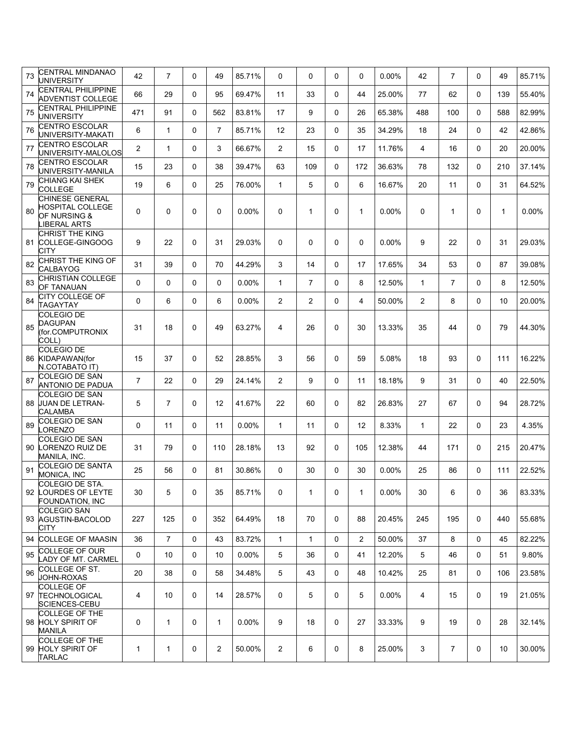| 73 | <b>CENTRAL MINDANAO</b><br><b>UNIVERSITY</b>                               | 42             | $\overline{7}$ | 0 | 49             | 85.71%   | $\Omega$       | $\Omega$       | $\Omega$     | 0            | 0.00%    | 42             | $\overline{7}$ | $\Omega$ | 49           | 85.71% |
|----|----------------------------------------------------------------------------|----------------|----------------|---|----------------|----------|----------------|----------------|--------------|--------------|----------|----------------|----------------|----------|--------------|--------|
| 74 | <b>CENTRAL PHILIPPINE</b><br>ADVENTIST COLLEGE                             | 66             | 29             | 0 | 95             | 69.47%   | 11             | 33             | $\Omega$     | 44           | 25.00%   | 77             | 62             | $\Omega$ | 139          | 55.40% |
| 75 | <b>CENTRAL PHILIPPINE</b><br><b>UNIVERSITY</b>                             | 471            | 91             | 0 | 562            | 83.81%   | 17             | 9              | $\Omega$     | 26           | 65.38%   | 488            | 100            | $\Omega$ | 588          | 82.99% |
| 76 | <b>CENTRO ESCOLAR</b><br>UNIVERSITY-MAKATI                                 | 6              | $\mathbf{1}$   | 0 | $\overline{7}$ | 85.71%   | 12             | 23             | $\Omega$     | 35           | 34.29%   | 18             | 24             | $\Omega$ | 42           | 42.86% |
| 77 | <b>CENTRO ESCOLAR</b><br>UNIVERSITY-MALOLOS                                | 2              | $\mathbf{1}$   | 0 | 3              | 66.67%   | $\overline{2}$ | 15             | $\Omega$     | 17           | 11.76%   | 4              | 16             | $\Omega$ | 20           | 20.00% |
| 78 | <b>CENTRO ESCOLAR</b><br>UNIVERSITY-MANILA                                 | 15             | 23             | 0 | 38             | 39.47%   | 63             | 109            | $\mathbf{0}$ | 172          | 36.63%   | 78             | 132            | $\Omega$ | 210          | 37.14% |
| 79 | CHIANG KAI SHEK<br><b>COLLEGE</b>                                          | 19             | 6              | 0 | 25             | 76.00%   | $\mathbf{1}$   | 5              | $\Omega$     | 6            | 16.67%   | 20             | 11             | $\Omega$ | 31           | 64.52% |
| 80 | CHINESE GENERAL<br><b>HOSPITAL COLLEGE</b><br>OF NURSING &<br>LIBERAL ARTS | 0              | $\Omega$       | 0 | 0              | $0.00\%$ | 0              | $\mathbf{1}$   | 0            | $\mathbf{1}$ | $0.00\%$ | $\Omega$       | $\mathbf{1}$   | 0        | $\mathbf{1}$ | 0.00%  |
| 81 | CHRIST THE KING<br>COLLEGE-GINGOOG<br><b>CITY</b>                          | 9              | 22             | 0 | 31             | 29.03%   | 0              | 0              | $\Omega$     | 0            | $0.00\%$ | 9              | 22             | $\Omega$ | 31           | 29.03% |
| 82 | CHRIST THE KING OF<br><b>CALBAYOG</b>                                      | 31             | 39             | 0 | 70             | 44.29%   | 3              | 14             | $\Omega$     | 17           | 17.65%   | 34             | 53             | $\Omega$ | 87           | 39.08% |
| 83 | CHRISTIAN COLLEGE<br>OF TANAUAN                                            | 0              | $\Omega$       | 0 | 0              | $0.00\%$ | $\mathbf{1}$   | $\overline{7}$ | $\Omega$     | 8            | 12.50%   | $\mathbf{1}$   | $\overline{7}$ | $\Omega$ | 8            | 12.50% |
| 84 | CITY COLLEGE OF<br><b>TAGAYTAY</b>                                         | 0              | 6              | 0 | 6              | $0.00\%$ | $\overline{2}$ | $\overline{2}$ | $\Omega$     | 4            | 50.00%   | $\overline{2}$ | 8              | $\Omega$ | 10           | 20.00% |
| 85 | COLEGIO DE<br><b>DAGUPAN</b><br>(for.COMPUTRONIX<br>COLL)                  | 31             | 18             | 0 | 49             | 63.27%   | 4              | 26             | $\Omega$     | 30           | 13.33%   | 35             | 44             | $\Omega$ | 79           | 44.30% |
|    | <b>COLEGIO DE</b><br>86 KIDAPAWAN(for<br>N.COTABATO IT)                    | 15             | 37             | 0 | 52             | 28.85%   | 3              | 56             | $\mathbf 0$  | 59           | 5.08%    | 18             | 93             | $\Omega$ | 111          | 16.22% |
| 87 | <b>COLEGIO DE SAN</b><br><b>ANTONIO DE PADUA</b>                           | $\overline{7}$ | 22             | 0 | 29             | 24.14%   | $\overline{2}$ | 9              | $\Omega$     | 11           | 18.18%   | 9              | 31             | $\Omega$ | 40           | 22.50% |
|    | COLEGIO DE SAN<br>88 JUAN DE LETRAN-<br>CALAMBA                            | 5              | $\overline{7}$ | 0 | 12             | 41.67%   | 22             | 60             | $\mathbf{0}$ | 82           | 26.83%   | 27             | 67             | $\Omega$ | 94           | 28.72% |
| 89 | COLEGIO DE SAN<br>LORENZO                                                  | 0              | 11             | 0 | 11             | 0.00%    | $\mathbf{1}$   | 11             | $\Omega$     | 12           | 8.33%    | $\mathbf{1}$   | 22             | $\Omega$ | 23           | 4.35%  |
|    | <b>COLEGIO DE SAN</b><br>90 LORENZO RUIZ DE<br>MANILA, INC.                | 31             | 79             | 0 | 110            | 28.18%   | 13             | 92             | $\mathbf 0$  | 105          | 12.38%   | 44             | 171            | $\Omega$ | 215          | 20.47% |
| 91 | COLEGIO DE SANTA<br>MONICA, INC                                            | 25             | 56             | 0 | 81             | 30.86%   | 0              | 30             | 0            | 30           | 0.00%    | 25             | 86             | $\Omega$ | 111          | 22.52% |
|    | COLEGIO DE STA.<br>92 LOURDES OF LEYTE<br>FOUNDATION, INC                  | 30             | 5              | 0 | 35             | 85.71%   | 0              | 1              | $\mathbf 0$  | 1            | 0.00%    | 30             | 6              | 0        | 36           | 83.33% |
|    | <b>COLEGIO SAN</b><br>93 AGUSTIN-BACOLOD<br>CITY                           | 227            | 125            | 0 | 352            | 64.49%   | 18             | 70             | $\mathbf 0$  | 88           | 20.45%   | 245            | 195            | $\Omega$ | 440          | 55.68% |
|    | 94 COLLEGE OF MAASIN                                                       | 36             | $\overline{7}$ | 0 | 43             | 83.72%   | $\mathbf 1$    | $\mathbf{1}$   | $\mathbf 0$  | $\mathbf{2}$ | 50.00%   | 37             | 8              | $\Omega$ | 45           | 82.22% |
| 95 | COLLEGE OF OUR<br>LADY OF MT. CARMEL                                       | 0              | 10             | 0 | 10             | $0.00\%$ | 5              | 36             | 0            | 41           | 12.20%   | 5              | 46             | 0        | 51           | 9.80%  |
| 96 | COLLEGE OF ST.<br>JOHN-ROXAS                                               | 20             | 38             | 0 | 58             | 34.48%   | 5              | 43             | $\mathbf 0$  | 48           | 10.42%   | 25             | 81             | 0        | 106          | 23.58% |
|    | COLLEGE OF<br>97 TECHNOLOGICAL<br>SCIENCES-CEBU                            | 4              | 10             | 0 | 14             | 28.57%   | 0              | 5              | 0            | 5            | $0.00\%$ | 4              | 15             | 0        | 19           | 21.05% |
|    | COLLEGE OF THE<br>98 HOLY SPIRIT OF<br><b>MANILA</b>                       | 0              | $\mathbf{1}$   | 0 | $\mathbf{1}$   | $0.00\%$ | 9              | 18             | $\mathbf 0$  | 27           | 33.33%   | 9              | 19             | 0        | 28           | 32.14% |
|    | <b>COLLEGE OF THE</b><br>99 HOLY SPIRIT OF<br><b>TARLAC</b>                | 1              | $\mathbf{1}$   | 0 | $\overline{2}$ | 50.00%   | $\overline{2}$ | 6              | 0            | 8            | 25.00%   | 3              | $\overline{7}$ | 0        | 10           | 30.00% |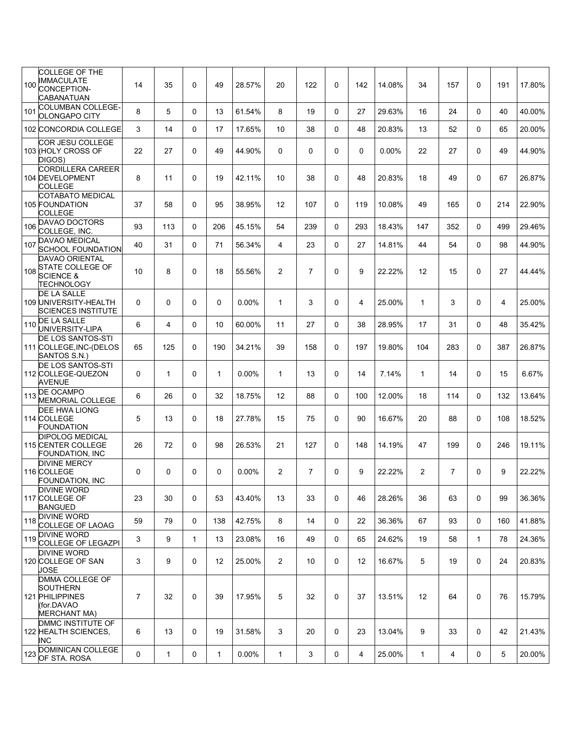|     | <b>COLLEGE OF THE</b>                                                                             |                |              |              |              |          |                   |                |              |     |          |                |                |              |     |        |
|-----|---------------------------------------------------------------------------------------------------|----------------|--------------|--------------|--------------|----------|-------------------|----------------|--------------|-----|----------|----------------|----------------|--------------|-----|--------|
| 100 | <b>IMMACULATE</b><br>CONCEPTION-<br>CABANATUAN                                                    | 14             | 35           | $\Omega$     | 49           | 28.57%   | 20                | 122            | $\Omega$     | 142 | 14.08%   | 34             | 157            | $\Omega$     | 191 | 17.80% |
| 101 | COLUMBAN COLLEGE-<br><b>OLONGAPO CITY</b>                                                         | 8              | 5            | $\Omega$     | 13           | 61.54%   | 8                 | 19             | $\mathbf{0}$ | 27  | 29.63%   | 16             | 24             | $\Omega$     | 40  | 40.00% |
|     | 102 CONCORDIA COLLEGE                                                                             | 3              | 14           | $\Omega$     | 17           | 17.65%   | 10                | 38             | $\Omega$     | 48  | 20.83%   | 13             | 52             | $\Omega$     | 65  | 20.00% |
|     | COR JESU COLLEGE<br>103 (HOLY CROSS OF<br>DIGOS)                                                  | 22             | 27           | 0            | 49           | 44.90%   | 0                 | 0              | $\Omega$     | 0   | $0.00\%$ | 22             | 27             | $\Omega$     | 49  | 44.90% |
|     | <b>CORDILLERA CAREER</b><br><b>104 DEVELOPMENT</b><br><b>COLLEGE</b>                              | 8              | 11           | 0            | 19           | 42.11%   | 10                | 38             | $\mathbf 0$  | 48  | 20.83%   | 18             | 49             | $\mathbf 0$  | 67  | 26.87% |
|     | COTABATO MEDICAL<br>105 FOUNDATION<br><b>COLLEGE</b>                                              | 37             | 58           | 0            | 95           | 38.95%   | $12 \overline{ }$ | 107            | $\mathbf 0$  | 119 | 10.08%   | 49             | 165            | $\Omega$     | 214 | 22.90% |
| 106 | <b>DAVAO DOCTORS</b><br>COLLEGE, INC.                                                             | 93             | 113          | 0            | 206          | 45.15%   | 54                | 239            | $\Omega$     | 293 | 18.43%   | 147            | 352            | $\Omega$     | 499 | 29.46% |
| 107 | <b>DAVAO MEDICAL</b><br><b>SCHOOL FOUNDATION</b>                                                  | 40             | 31           | $\Omega$     | 71           | 56.34%   | 4                 | 23             | $\mathbf{0}$ | 27  | 14.81%   | 44             | 54             | $\Omega$     | 98  | 44.90% |
| 108 | <b>DAVAO ORIENTAL</b><br><b>STATE COLLEGE OF</b><br><b>SCIENCE &amp;</b><br><b>TECHNOLOGY</b>     | 10             | 8            | 0            | 18           | 55.56%   | 2                 | $\overline{7}$ | $\mathbf 0$  | 9   | 22.22%   | 12             | 15             | $\Omega$     | 27  | 44.44% |
|     | DE LA SALLE<br>109 UNIVERSITY-HEALTH<br><b>SCIENCES INSTITUTE</b>                                 | 0              | $\Omega$     | 0            | 0            | $0.00\%$ | $\mathbf{1}$      | 3              | 0            | 4   | 25.00%   | $\mathbf{1}$   | 3              | $\Omega$     | 4   | 25.00% |
| 110 | DE LA SALLE<br>UNIVERSITY-LIPA                                                                    | 6              | 4            | 0            | 10           | 60.00%   | 11                | 27             | $\mathbf 0$  | 38  | 28.95%   | 17             | 31             | $\Omega$     | 48  | 35.42% |
|     | DE LOS SANTOS-STI<br>111 COLLEGE, INC-(DELOS<br>SANTOS S.N.)                                      | 65             | 125          | 0            | 190          | 34.21%   | 39                | 158            | $\mathbf 0$  | 197 | 19.80%   | 104            | 283            | $\Omega$     | 387 | 26.87% |
|     | DE LOS SANTOS-STI<br>112 COLLEGE-QUEZON<br><b>AVENUE</b>                                          | 0              | $\mathbf{1}$ | $\Omega$     | $\mathbf 1$  | $0.00\%$ | $\mathbf{1}$      | 13             | $\mathbf{0}$ | 14  | 7.14%    | $\mathbf{1}$   | 14             | $\Omega$     | 15  | 6.67%  |
|     | 113 DE OCAMPO<br><b>MEMORIAL COLLEGE</b>                                                          | 6              | 26           | 0            | 32           | 18.75%   | 12                | 88             | $\mathbf{0}$ | 100 | 12.00%   | 18             | 114            | $\mathbf{0}$ | 132 | 13.64% |
|     | <b>DEE HWA LIONG</b><br>114 COLLEGE<br><b>FOUNDATION</b>                                          | 5              | 13           | $\Omega$     | 18           | 27.78%   | 15                | 75             | $\mathbf{0}$ | 90  | 16.67%   | 20             | 88             | $\Omega$     | 108 | 18.52% |
|     | <b>DIPOLOG MEDICAL</b><br>115 CENTER COLLEGE<br>FOUNDATION, INC                                   | 26             | 72           | 0            | 98           | 26.53%   | 21                | 127            | $\Omega$     | 148 | 14.19%   | 47             | 199            | $\Omega$     | 246 | 19.11% |
|     | <b>DIVINE MERCY</b><br>116 COLLEGE<br>FOUNDATION, INC                                             | 0              | $\Omega$     | 0            | 0            | $0.00\%$ | $\overline{2}$    | $\overline{7}$ | $\mathbf{0}$ | 9   | 22.22%   | $\overline{2}$ | $\overline{7}$ | $\Omega$     | 9   | 22.22% |
|     | <b>DIVINE WORD</b><br>117 COLLEGE OF<br><b>BANGUED</b>                                            | 23             | 30           | 0            | 53           | 43.40%   | 13                | 33             | 0            | 46  | 28.26%   | 36             | 63             | 0            | 99  | 36.36% |
| 118 | <b>DIVINE WORD</b><br>COLLEGE OF LAOAG                                                            | 59             | 79           | 0            | 138          | 42.75%   | 8                 | 14             | $\mathbf 0$  | 22  | 36.36%   | 67             | 93             | 0            | 160 | 41.88% |
| 119 | <b>DIVINE WORD</b><br>COLLEGE OF LEGAZPI                                                          | 3              | 9            | $\mathbf{1}$ | 13           | 23.08%   | 16                | 49             | $\mathbf 0$  | 65  | 24.62%   | 19             | 58             | $\mathbf{1}$ | 78  | 24.36% |
|     | <b>DIVINE WORD</b><br>120 COLLEGE OF SAN<br>JOSE                                                  | 3              | 9            | 0            | 12           | 25.00%   | $\overline{2}$    | 10             | $\mathbf 0$  | 12  | 16.67%   | 5              | 19             | $\mathbf 0$  | 24  | 20.83% |
|     | <b>DMMA COLLEGE OF</b><br><b>SOUTHERN</b><br>121 PHILIPPINES<br>(for.DAVAO<br><b>MERCHANT MA)</b> | $\overline{7}$ | 32           | 0            | 39           | 17.95%   | 5                 | 32             | 0            | 37  | 13.51%   | 12             | 64             | $\mathbf 0$  | 76  | 15.79% |
|     | DMMC INSTITUTE OF<br>122 HEALTH SCIENCES,<br>INC                                                  | 6              | 13           | 0            | 19           | 31.58%   | 3                 | 20             | 0            | 23  | 13.04%   | 9              | 33             | $\mathbf 0$  | 42  | 21.43% |
| 123 | <b>DOMINICAN COLLEGE</b><br>OF STA. ROSA                                                          | 0              | $\mathbf{1}$ | 0            | $\mathbf{1}$ | 0.00%    | $\mathbf{1}$      | 3              | 0            | 4   | 25.00%   | $\mathbf{1}$   | 4              | 0            | 5   | 20.00% |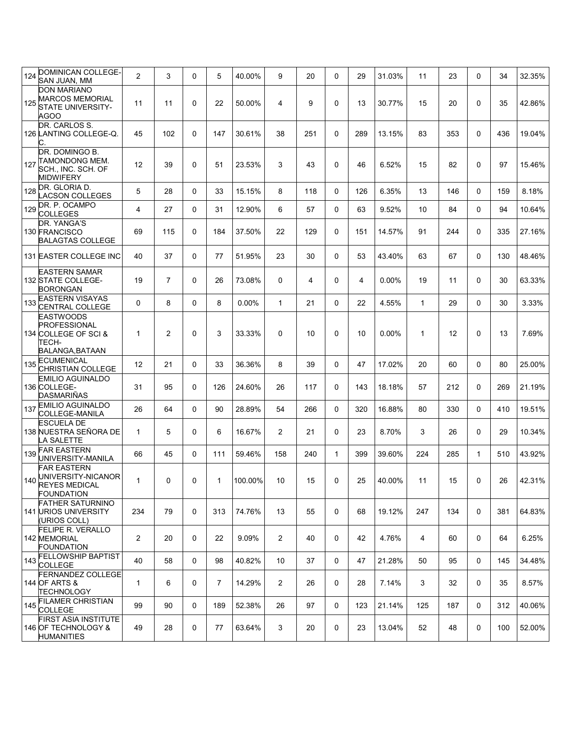| 124 | DOMINICAN COLLEGE-<br>SAN JUAN, MM                                                    | $\overline{c}$ | 3              | 0 | 5              | 40.00%  | 9              | 20  | $\Omega$     | 29  | 31.03%   | 11           | 23  | $\Omega$    | 34  | 32.35% |
|-----|---------------------------------------------------------------------------------------|----------------|----------------|---|----------------|---------|----------------|-----|--------------|-----|----------|--------------|-----|-------------|-----|--------|
| 125 | <b>DON MARIANO</b><br><b>MARCOS MEMORIAL</b><br><b>STATE UNIVERSITY-</b><br>AGOO      | 11             | 11             | 0 | 22             | 50.00%  | 4              | 9   | 0            | 13  | 30.77%   | 15           | 20  | $\mathbf 0$ | 35  | 42.86% |
|     | DR. CARLOS S.<br>126 LANTING COLLEGE-Q.<br>С.                                         | 45             | 102            | 0 | 147            | 30.61%  | 38             | 251 | 0            | 289 | 13.15%   | 83           | 353 | $\mathbf 0$ | 436 | 19.04% |
| 127 | DR. DOMINGO B.<br>TAMONDONG MEM.<br>SCH., INC. SCH. OF<br>MIDWIFERY                   | 12             | 39             | 0 | 51             | 23.53%  | 3              | 43  | 0            | 46  | 6.52%    | 15           | 82  | $\mathbf 0$ | 97  | 15.46% |
| 128 | DR. GLORIA D.<br><b>ACSON COLLEGES</b>                                                | 5              | 28             | 0 | 33             | 15.15%  | 8              | 118 | $\mathbf 0$  | 126 | 6.35%    | 13           | 146 | 0           | 159 | 8.18%  |
| 129 | DR. P. OCAMPO<br><b>COLLEGES</b>                                                      | 4              | 27             | 0 | 31             | 12.90%  | 6              | 57  | $\mathbf 0$  | 63  | 9.52%    | 10           | 84  | $\Omega$    | 94  | 10.64% |
|     | DR. YANGA'S<br>130 FRANCISCO<br><b>BALAGTAS COLLEGE</b>                               | 69             | 115            | 0 | 184            | 37.50%  | 22             | 129 | 0            | 151 | 14.57%   | 91           | 244 | $\mathbf 0$ | 335 | 27.16% |
|     | 131 EASTER COLLEGE INC                                                                | 40             | 37             | 0 | 77             | 51.95%  | 23             | 30  | $\mathbf 0$  | 53  | 43.40%   | 63           | 67  | 0           | 130 | 48.46% |
|     | <b>EASTERN SAMAR</b><br>132 STATE COLLEGE-<br><b>BORONGAN</b>                         | 19             | $\overline{7}$ | 0 | 26             | 73.08%  | 0              | 4   | 0            | 4   | $0.00\%$ | 19           | 11  | $\Omega$    | 30  | 63.33% |
| 133 | <b>EASTERN VISAYAS</b><br>CENTRAL COLLEGE                                             | 0              | 8              | 0 | 8              | 0.00%   | $\mathbf{1}$   | 21  | $\mathbf 0$  | 22  | 4.55%    | $\mathbf{1}$ | 29  | $\mathbf 0$ | 30  | 3.33%  |
|     | <b>EASTWOODS</b><br>PROFESSIONAL<br>134 COLLEGE OF SCI &<br>TECH-<br>BALANGA, BATAAN  | $\mathbf{1}$   | $\overline{2}$ | 0 | 3              | 33.33%  | 0              | 10  | $\mathbf 0$  | 10  | $0.00\%$ | $\mathbf{1}$ | 12  | $\mathbf 0$ | 13  | 7.69%  |
| 135 | <b>ECUMENICAL</b><br><b>CHRISTIAN COLLEGE</b>                                         | 12             | 21             | 0 | 33             | 36.36%  | 8              | 39  | 0            | 47  | 17.02%   | 20           | 60  | $\mathbf 0$ | 80  | 25.00% |
|     | <b>EMILIO AGUINALDO</b><br>136 COLLEGE-<br>DASMARIÑAS                                 | 31             | 95             | 0 | 126            | 24.60%  | 26             | 117 | $\mathbf 0$  | 143 | 18.18%   | 57           | 212 | $\mathbf 0$ | 269 | 21.19% |
| 137 | <b>EMILIO AGUINALDO</b><br>COLLEGE-MANILA                                             | 26             | 64             | 0 | 90             | 28.89%  | 54             | 266 | 0            | 320 | 16.88%   | 80           | 330 | $\mathbf 0$ | 410 | 19.51% |
|     | <b>ESCUELA DE</b><br>138 NUESTRA SEÑORA DE<br>A SALETTE.                              | $\mathbf{1}$   | 5              | 0 | 6              | 16.67%  | 2              | 21  | $\mathbf 0$  | 23  | 8.70%    | 3            | 26  | $\mathbf 0$ | 29  | 10.34% |
| 139 | <b>FAR EASTERN</b><br>UNIVERSITY-MANILA                                               | 66             | 45             | 0 | 111            | 59.46%  | 158            | 240 | $\mathbf{1}$ | 399 | 39.60%   | 224          | 285 | 1           | 510 | 43.92% |
| 140 | <b>FAR EASTERN</b><br>UNIVERSITY-NICANOR<br><b>REYES MEDICAL</b><br><b>FOUNDATION</b> | $\mathbf{1}$   | 0              | 0 | 1              | 100.00% | 10             | 15  | 0            | 25  | 40.00%   | 11           | 15  | $\mathbf 0$ | 26  | 42.31% |
|     | <b>FATHER SATURNINO</b><br><b>141 URIOS UNIVERSITY</b><br>(URIOS COLL)                | 234            | 79             | 0 | 313            | 74.76%  | 13             | 55  | $\mathbf 0$  | 68  | 19.12%   | 247          | 134 | 0           | 381 | 64.83% |
|     | <b>FELIPE R. VERALLO</b><br>142 MEMORIAL<br><b>FOUNDATION</b>                         | 2              | 20             | 0 | 22             | 9.09%   | $\overline{2}$ | 40  | $\mathbf 0$  | 42  | 4.76%    | 4            | 60  | 0           | 64  | 6.25%  |
| 143 | <b>FELLOWSHIP BAPTIST</b><br><b>COLLEGE</b>                                           | 40             | 58             | 0 | 98             | 40.82%  | 10             | 37  | $\mathbf 0$  | 47  | 21.28%   | 50           | 95  | 0           | 145 | 34.48% |
|     | <b>FERNANDEZ COLLEGE</b><br>144 OF ARTS &<br>TECHNOLOGY                               | $\mathbf{1}$   | 6              | 0 | $\overline{7}$ | 14.29%  | 2              | 26  | $\mathbf 0$  | 28  | 7.14%    | 3            | 32  | 0           | 35  | 8.57%  |
| 145 | <b>FILAMER CHRISTIAN</b><br><b>COLLEGE</b>                                            | 99             | 90             | 0 | 189            | 52.38%  | 26             | 97  | $\mathbf 0$  | 123 | 21.14%   | 125          | 187 | 0           | 312 | 40.06% |
|     | <b>FIRST ASIA INSTITUTE</b><br>146 OF TECHNOLOGY &<br><b>HUMANITIES</b>               | 49             | 28             | 0 | 77             | 63.64%  | 3              | 20  | 0            | 23  | 13.04%   | 52           | 48  | 0           | 100 | 52.00% |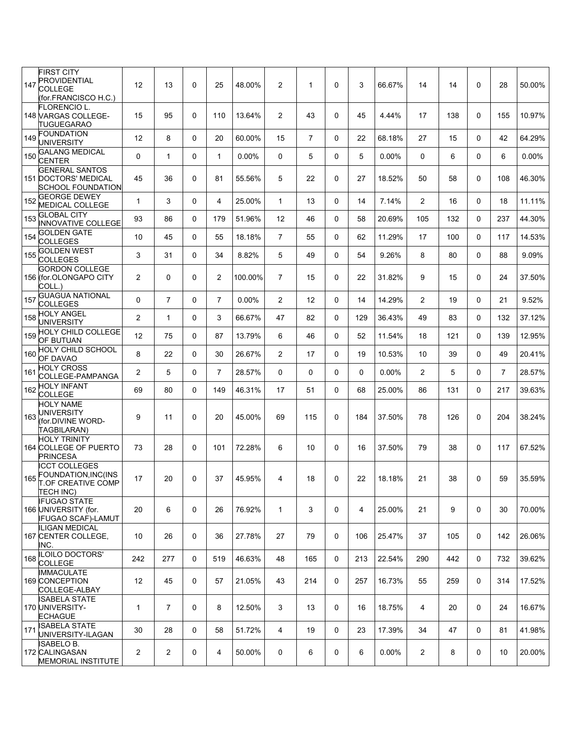| <b>FIRST CITY</b><br>PROVIDENTIAL<br>147<br>COLLEGE                               | 12             | 13                      | $\mathbf 0$ | 25             | 48.00%  | $\overline{2}$ | $\mathbf 1$    | $\mathbf 0$ | 3   | 66.67%   | 14             | 14  | 0           | 28             | 50.00% |
|-----------------------------------------------------------------------------------|----------------|-------------------------|-------------|----------------|---------|----------------|----------------|-------------|-----|----------|----------------|-----|-------------|----------------|--------|
| (for.FRANCISCO H.C.)<br><b>FLORENCIO L.</b><br>148 VARGAS COLLEGE-<br>TUGUEGARAO  | 15             | 95                      | 0           | 110            | 13.64%  | $\overline{2}$ | 43             | 0           | 45  | 4.44%    | 17             | 138 | 0           | 155            | 10.97% |
| <b>FOUNDATION</b><br>149<br><b>UNIVERSITY</b>                                     | 12             | 8                       | 0           | 20             | 60.00%  | 15             | $\overline{7}$ | 0           | 22  | 68.18%   | 27             | 15  | $\Omega$    | 42             | 64.29% |
| <b>GALANG MEDICAL</b><br>150<br><b>CENTER</b>                                     | 0              | $\mathbf{1}$            | 0           | $\mathbf 1$    | 0.00%   | 0              | 5              | 0           | 5   | 0.00%    | 0              | 6   | 0           | 6              | 0.00%  |
| <b>GENERAL SANTOS</b><br><b>151 DOCTORS' MEDICAL</b><br>SCHOOL FOUNDATION         | 45             | 36                      | $\mathbf 0$ | 81             | 55.56%  | 5              | 22             | $\mathbf 0$ | 27  | 18.52%   | 50             | 58  | 0           | 108            | 46.30% |
| <b>GEORGE DEWEY</b><br>152<br><b>MEDICAL COLLEGE</b>                              | $\mathbf{1}$   | 3                       | 0           | 4              | 25.00%  | $\mathbf{1}$   | 13             | 0           | 14  | 7.14%    | $\overline{2}$ | 16  | 0           | 18             | 11.11% |
| <b>GLOBAL CITY</b><br>153<br><b>INNOVATIVE COLLEGE</b>                            | 93             | 86                      | 0           | 179            | 51.96%  | 12             | 46             | 0           | 58  | 20.69%   | 105            | 132 | 0           | 237            | 44.30% |
| <b>GOLDEN GATE</b><br>154<br>COLLEGES                                             | 10             | 45                      | 0           | 55             | 18.18%  | $\overline{7}$ | 55             | 0           | 62  | 11.29%   | 17             | 100 | $\Omega$    | 117            | 14.53% |
| <b>GOLDEN WEST</b><br>155<br><b>COLLEGES</b>                                      | 3              | 31                      | 0           | 34             | 8.82%   | 5              | 49             | $\Omega$    | 54  | 9.26%    | 8              | 80  | $\Omega$    | 88             | 9.09%  |
| <b>GORDON COLLEGE</b><br>156 (for OLONGAPO CITY<br>COLL.)                         | 2              | 0                       | 0           | 2              | 100.00% | $\overline{7}$ | 15             | $\mathbf 0$ | 22  | 31.82%   | 9              | 15  | 0           | 24             | 37.50% |
| <b>GUAGUA NATIONAL</b><br>157<br><b>COLLEGES</b>                                  | 0              | $\overline{7}$          | 0           | $\overline{7}$ | 0.00%   | $\overline{2}$ | 12             | $\Omega$    | 14  | 14.29%   | $\overline{2}$ | 19  | $\Omega$    | 21             | 9.52%  |
| <b>HOLY ANGEL</b><br>158<br><b>UNIVERSITY</b>                                     | 2              | $\mathbf{1}$            | 0           | 3              | 66.67%  | 47             | 82             | 0           | 129 | 36.43%   | 49             | 83  | 0           | 132            | 37.12% |
| <b>HOLY CHILD COLLEGE</b><br>159<br>OF BUTUAN                                     | 12             | 75                      | 0           | 87             | 13.79%  | 6              | 46             | 0           | 52  | 11.54%   | 18             | 121 | $\Omega$    | 139            | 12.95% |
| <b>HOLY CHILD SCHOOL</b><br>160<br>OF DAVAO                                       | 8              | 22                      | 0           | 30             | 26.67%  | $\overline{2}$ | 17             | 0           | 19  | 10.53%   | 10             | 39  | $\Omega$    | 49             | 20.41% |
| <b>HOLY CROSS</b><br>161<br>COLLEGE-PAMPANGA                                      | 2              | 5                       | 0           | $\overline{7}$ | 28.57%  | 0              | $\Omega$       | $\Omega$    | 0   | $0.00\%$ | $\overline{2}$ | 5   | 0           | $\overline{7}$ | 28.57% |
| <b>HOLY INFANT</b><br>162<br><b>COLLEGE</b>                                       | 69             | 80                      | 0           | 149            | 46.31%  | 17             | 51             | 0           | 68  | 25.00%   | 86             | 131 | 0           | 217            | 39.63% |
| <b>HOLY NAME</b><br>UNIVERSITY<br>163<br>for.DIVINE WORD-<br><b>TAGBILARAN)</b>   | 9              | 11                      | 0           | 20             | 45.00%  | 69             | 115            | $\Omega$    | 184 | 37.50%   | 78             | 126 | $\Omega$    | 204            | 38.24% |
| <b>HOLY TRINITY</b><br>164 COLLEGE OF PUERTO<br><b>PRINCESA</b>                   | 73             | 28                      | 0           | 101            | 72.28%  | 6              | 10             | $\mathbf 0$ | 16  | 37.50%   | 79             | 38  | 0           | 117            | 67.52% |
| <b>ICCT COLLEGES</b><br>FOUNDATION, INC(INS<br>165 TOF CREATIVE COMP<br>TECH INC) | 17             | 20                      | 0           | 37             | 45.95%  | 4              | 18             | 0           | 22  | 18.18%   | 21             | 38  | 0           | 59             | 35.59% |
| <b>IFUGAO STATE</b><br>166 UNIVERSITY (for.<br><b>IFUGAO SCAF)-LAMUT</b>          | 20             | 6                       | 0           | 26             | 76.92%  | $\mathbf{1}$   | 3              | 0           | 4   | 25.00%   | 21             | 9   | $\mathbf 0$ | 30             | 70.00% |
| ILIGAN MEDICAL<br>167 CENTER COLLEGE.<br>INC.                                     | 10             | 26                      | 0           | 36             | 27.78%  | 27             | 79             | 0           | 106 | 25.47%   | 37             | 105 | $\Omega$    | 142            | 26.06% |
| <b>ILOILO DOCTORS'</b><br>168<br>COLLEGE                                          | 242            | 277                     | 0           | 519            | 46.63%  | 48             | 165            | 0           | 213 | 22.54%   | 290            | 442 | 0           | 732            | 39.62% |
| <b>IMMACULATE</b><br>169 CONCEPTION<br>COLLEGE-ALBAY                              | 12             | 45                      | 0           | 57             | 21.05%  | 43             | 214            | 0           | 257 | 16.73%   | 55             | 259 | $\mathbf 0$ | 314            | 17.52% |
| ISABELA STATE<br>170 UNIVERSITY-<br><b>ECHAGUE</b>                                | 1              | $\overline{7}$          | 0           | 8              | 12.50%  | 3              | 13             | 0           | 16  | 18.75%   | 4              | 20  | 0           | 24             | 16.67% |
| ISABELA STATE<br>171<br>UNIVERSITY-ILAGAN                                         | 30             | 28                      | $\mathbf 0$ | 58             | 51.72%  | $\overline{4}$ | 19             | 0           | 23  | 17.39%   | 34             | 47  | 0           | 81             | 41.98% |
| <b>ISABELO B.</b><br>172 CALINGASAN<br><b>MEMORIAL INSTITUTE</b>                  | $\overline{2}$ | $\overline{\mathbf{c}}$ | 0           | 4              | 50.00%  | 0              | 6              | 0           | 6   | $0.00\%$ | $\overline{2}$ | 8   | 0           | 10             | 20.00% |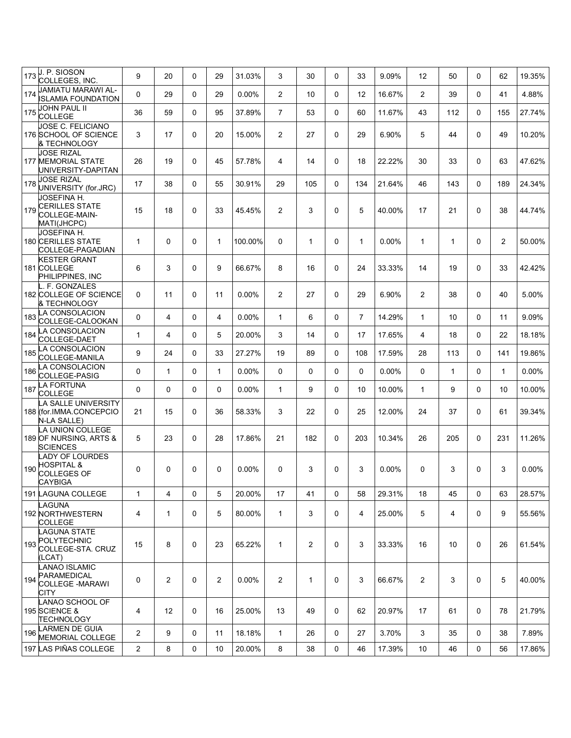| 173 | J. P. SIOSON<br>COLLEGES, INC.                                                  | 9              | 20             | 0 | 29             | 31.03%   | 3              | 30           | 0           | 33             | 9.09%    | 12             | 50  | $\Omega$     | 62             | 19.35%   |
|-----|---------------------------------------------------------------------------------|----------------|----------------|---|----------------|----------|----------------|--------------|-------------|----------------|----------|----------------|-----|--------------|----------------|----------|
| 174 | JAMIATU MARAWI AL-<br><b>ISLAMIA FOUNDATION</b>                                 | 0              | 29             | 0 | 29             | $0.00\%$ | $\overline{2}$ | 10           | 0           | 12             | 16.67%   | $\overline{2}$ | 39  | $\mathbf{0}$ | 41             | 4.88%    |
| 175 | JOHN PAUL II<br><b>COLLEGE</b>                                                  | 36             | 59             | 0 | 95             | 37.89%   | $\overline{7}$ | 53           | 0           | 60             | 11.67%   | 43             | 112 | $\mathbf{0}$ | 155            | 27.74%   |
|     | <b>JOSE C. FELICIANO</b><br>176 SCHOOL OF SCIENCE<br>& TECHNOLOGY               | 3              | 17             | 0 | 20             | 15.00%   | 2              | 27           | 0           | 29             | 6.90%    | 5              | 44  | $\Omega$     | 49             | 10.20%   |
|     | <b>JOSE RIZAL</b><br><b>177 MEMORIAL STATE</b><br>UNIVERSITY-DAPITAN            | 26             | 19             | 0 | 45             | 57.78%   | 4              | 14           | $\Omega$    | 18             | 22.22%   | 30             | 33  | $\Omega$     | 63             | 47.62%   |
| 178 | <b>JOSE RIZAL</b><br>UNIVERSITY (for.JRC)                                       | 17             | 38             | 0 | 55             | 30.91%   | 29             | 105          | 0           | 134            | 21.64%   | 46             | 143 | $\mathbf{0}$ | 189            | 24.34%   |
| 179 | JOSEFINA H.<br>CERILLES STATE<br>COLLEGE-MAIN-<br>MATI(JHCPC)                   | 15             | 18             | 0 | 33             | 45.45%   | 2              | 3            | 0           | 5              | 40.00%   | 17             | 21  | $\Omega$     | 38             | 44.74%   |
|     | <b>JOSEFINA H.</b><br><b>180 CERILLES STATE</b><br>COLLEGE-PAGADIAN             | $\mathbf{1}$   | 0              | 0 | 1              | 100.00%  | 0              | 1            | $\Omega$    | $\mathbf{1}$   | $0.00\%$ | $\mathbf{1}$   | 1   | $\mathbf{0}$ | $\overline{2}$ | 50.00%   |
|     | <b>KESTER GRANT</b><br>181 COLLEGE<br>PHILIPPINES, INC                          | 6              | 3              | 0 | 9              | 66.67%   | 8              | 16           | 0           | 24             | 33.33%   | 14             | 19  | $\Omega$     | 33             | 42.42%   |
|     | F. GONZALES<br>182 COLLEGE OF SCIENCE<br>& TECHNOLOGY                           | 0              | 11             | 0 | 11             | $0.00\%$ | $\overline{2}$ | 27           | 0           | 29             | 6.90%    | $\overline{2}$ | 38  | $\mathbf{0}$ | 40             | 5.00%    |
| 183 | LA CONSOLACION<br>COLLEGE-CALOOKAN                                              | 0              | $\overline{4}$ | 0 | 4              | $0.00\%$ | $\mathbf{1}$   | 6            | 0           | $\overline{7}$ | 14.29%   | $\mathbf{1}$   | 10  | $\mathbf{0}$ | 11             | 9.09%    |
| 184 | LA CONSOLACION<br>COLLEGE-DAET                                                  | $\mathbf{1}$   | 4              | 0 | 5              | 20.00%   | 3              | 14           | 0           | 17             | 17.65%   | 4              | 18  | $\mathbf{0}$ | 22             | 18.18%   |
| 185 | A CONSOLACION<br>COLLEGE-MANILA                                                 | 9              | 24             | 0 | 33             | 27.27%   | 19             | 89           | 0           | 108            | 17.59%   | 28             | 113 | $\mathbf{0}$ | 141            | 19.86%   |
| 186 | A CONSOLACION<br>COLLEGE-PASIG                                                  | 0              | $\mathbf{1}$   | 0 | $\mathbf{1}$   | 0.00%    | 0              | 0            | $\Omega$    | 0              | 0.00%    | $\Omega$       | 1   | $\mathbf{0}$ | $\mathbf{1}$   | 0.00%    |
| 187 | LA FORTUNA<br><b>COLLEGE</b>                                                    | 0              | 0              | 0 | $\mathbf 0$    | 0.00%    | $\mathbf{1}$   | 9            | $\Omega$    | 10             | 10.00%   | $\mathbf{1}$   | 9   | $\Omega$     | 10             | 10.00%   |
|     | <b>A SALLE UNIVERSITY</b><br>188 (for IMMA CONCEPCIO<br>N-LA SALLE)             | 21             | 15             | 0 | 36             | 58.33%   | 3              | 22           | 0           | 25             | 12.00%   | 24             | 37  | $\mathbf{0}$ | 61             | 39.34%   |
|     | LA UNION COLLEGE<br>189 OF NURSING, ARTS &<br><b>SCIENCES</b>                   | 5              | 23             | 0 | 28             | 17.86%   | 21             | 182          | 0           | 203            | 10.34%   | 26             | 205 | $\mathbf{0}$ | 231            | 11.26%   |
| 190 | <b>ADY OF LOURDES</b><br><b>HOSPITAL &amp;</b><br><b>COLLEGES OF</b><br>CAYBIGA | 0              | $\Omega$       | 0 | 0              | $0.00\%$ | 0              | 3            | 0           | 3              | $0.00\%$ | 0              | 3   | $\Omega$     | 3              | $0.00\%$ |
|     | 191 LAGUNA COLLEGE                                                              | 1              | 4              | 0 | 5              | 20.00%   | 17             | 41           | $\mathbf 0$ | 58             | 29.31%   | 18             | 45  | $\mathbf 0$  | 63             | 28.57%   |
|     | LAGUNA<br>192 NORTHWESTERN<br><b>COLLEGE</b>                                    | 4              | $\mathbf{1}$   | 0 | 5              | 80.00%   | $\mathbf{1}$   | 3            | 0           | 4              | 25.00%   | 5              | 4   | $\mathbf{0}$ | 9              | 55.56%   |
| 193 | LAGUNA STATE<br>POLYTECHNIC<br>COLLEGE-STA. CRUZ<br>(LCAT)                      | 15             | 8              | 0 | 23             | 65.22%   | $\mathbf{1}$   | 2            | $\mathbf 0$ | 3              | 33.33%   | 16             | 10  | 0            | 26             | 61.54%   |
| 194 | LANAO ISLAMIC<br>PARAMEDICAL<br><b>COLLEGE -MARAWI</b><br><b>CITY</b>           | 0              | 2              | 0 | $\overline{2}$ | $0.00\%$ | $\overline{2}$ | $\mathbf{1}$ | $\mathbf 0$ | 3              | 66.67%   | $\overline{2}$ | 3   | $\Omega$     | 5              | 40.00%   |
|     | LANAO SCHOOL OF<br>195 SCIENCE &<br><b>TECHNOLOGY</b>                           | 4              | 12             | 0 | 16             | 25.00%   | 13             | 49           | 0           | 62             | 20.97%   | 17             | 61  | 0            | 78             | 21.79%   |
| 196 | LARMEN DE GUIA<br><b>MEMORIAL COLLEGE</b>                                       | $\overline{c}$ | 9              | 0 | 11             | 18.18%   | $\mathbf{1}$   | 26           | 0           | 27             | 3.70%    | 3              | 35  | $\Omega$     | 38             | 7.89%    |
|     | 197 LAS PIÑAS COLLEGE                                                           | $\overline{2}$ | 8              | 0 | 10             | 20.00%   | 8              | 38           | 0           | 46             | 17.39%   | 10             | 46  | 0            | 56             | 17.86%   |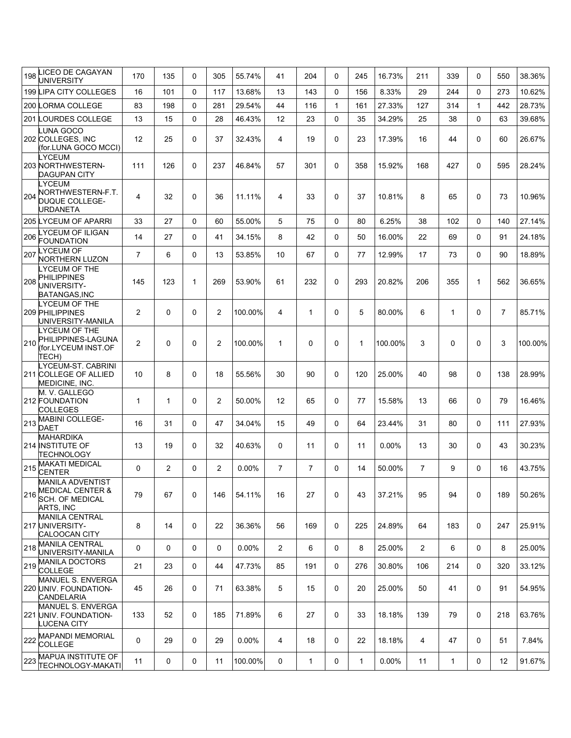| 198 | LICEO DE CAGAYAN<br>UNIVERSITY                                                                | 170            | 135            | 0        | 305            | 55.74%  | 41             | 204            | $\Omega$     | 245          | 16.73%   | 211            | 339          | $\Omega$     | 550            | 38.36%  |
|-----|-----------------------------------------------------------------------------------------------|----------------|----------------|----------|----------------|---------|----------------|----------------|--------------|--------------|----------|----------------|--------------|--------------|----------------|---------|
|     | 199 LIPA CITY COLLEGES                                                                        | 16             | 101            | $\Omega$ | 117            | 13.68%  | 13             | 143            | $\Omega$     | 156          | 8.33%    | 29             | 244          | $\Omega$     | 273            | 10.62%  |
|     | 200 LORMA COLLEGE                                                                             | 83             | 198            | 0        | 281            | 29.54%  | 44             | 116            | $\mathbf{1}$ | 161          | 27.33%   | 127            | 314          | $\mathbf{1}$ | 442            | 28.73%  |
|     | 201 LOURDES COLLEGE                                                                           | 13             | 15             | 0        | 28             | 46.43%  | 12             | 23             | $\Omega$     | 35           | 34.29%   | 25             | 38           | $\Omega$     | 63             | 39.68%  |
|     | <b>UNA GOCO</b><br>202 COLLEGES, INC<br>(for.LUNA GOCO MCCI)                                  | 12             | 25             | 0        | 37             | 32.43%  | 4              | 19             | $\Omega$     | 23           | 17.39%   | 16             | 44           | $\Omega$     | 60             | 26.67%  |
|     | <b>YCEUM</b><br>203 NORTHWESTERN-<br><b>DAGUPAN CITY</b>                                      | 111            | 126            | 0        | 237            | 46.84%  | 57             | 301            | $\mathbf 0$  | 358          | 15.92%   | 168            | 427          | $\Omega$     | 595            | 28.24%  |
| 204 | LYCEUM<br>NORTHWESTERN-F.T.<br><b>DUQUE COLLEGE-</b><br>URDANETA                              | 4              | 32             | 0        | 36             | 11.11%  | 4              | 33             | $\Omega$     | 37           | 10.81%   | 8              | 65           | $\Omega$     | 73             | 10.96%  |
|     | 205 LYCEUM OF APARRI                                                                          | 33             | 27             | 0        | 60             | 55.00%  | 5              | 75             | $\Omega$     | 80           | 6.25%    | 38             | 102          | $\Omega$     | 140            | 27.14%  |
| 206 | YCEUM OF ILIGAN<br><b>FOUNDATION</b>                                                          | 14             | 27             | 0        | 41             | 34.15%  | 8              | 42             | $\Omega$     | 50           | 16.00%   | 22             | 69           | $\Omega$     | 91             | 24.18%  |
| 207 | LYCEUM OF<br><b>NORTHERN LUZON</b><br>LYCEUM OF THE                                           | $\overline{7}$ | 6              | 0        | 13             | 53.85%  | 10             | 67             | 0            | 77           | 12.99%   | 17             | 73           | $\Omega$     | 90             | 18.89%  |
| 208 | PHILIPPINES<br>UNIVERSITY-<br>BATANGAS, INC                                                   | 145            | 123            | 1        | 269            | 53.90%  | 61             | 232            | $\mathbf 0$  | 293          | 20.82%   | 206            | 355          | $\mathbf{1}$ | 562            | 36.65%  |
|     | LYCEUM OF THE<br>209 PHILIPPINES<br>UNIVERSITY-MANILA                                         | $\overline{2}$ | 0              | 0        | $\overline{2}$ | 100.00% | 4              | $\mathbf{1}$   | 0            | 5            | 80.00%   | 6              | 1            | $\Omega$     | $\overline{7}$ | 85.71%  |
| 210 | LYCEUM OF THE<br>PHILIPPINES-LAGUNA<br>(for.LYCEUM INST.OF<br>TECH)                           | 2              | 0              | 0        | 2              | 100.00% | $\mathbf{1}$   | 0              | $\mathbf 0$  | $\mathbf{1}$ | 100.00%  | 3              | 0            | 0            | 3              | 100.00% |
|     | LYCEUM-ST. CABRINI<br>211 COLLEGE OF ALLIED<br>MEDICINE, INC.                                 | 10             | 8              | 0        | 18             | 55.56%  | 30             | 90             | $\Omega$     | 120          | 25.00%   | 40             | 98           | $\Omega$     | 138            | 28.99%  |
|     | M. V. GALLEGO<br>212 FOUNDATION<br><b>COLLEGES</b>                                            | $\mathbf{1}$   | 1              | 0        | $\overline{2}$ | 50.00%  | 12             | 65             | $\mathbf 0$  | 77           | 15.58%   | 13             | 66           | $\Omega$     | 79             | 16.46%  |
| 213 | <b>MABINI COLLEGE-</b><br>DAET                                                                | 16             | 31             | 0        | 47             | 34.04%  | 15             | 49             | 0            | 64           | 23.44%   | 31             | 80           | $\Omega$     | 111            | 27.93%  |
|     | <b>MAHARDIKA</b><br>214 INSTITUTE OF<br><b>TECHNOLOGY</b>                                     | 13             | 19             | 0        | 32             | 40.63%  | 0              | 11             | $\mathbf 0$  | 11           | $0.00\%$ | 13             | 30           | $\mathbf{0}$ | 43             | 30.23%  |
| 215 | <b>MAKATI MEDICAL</b><br><b>CENTER</b>                                                        | 0              | $\overline{2}$ | 0        | 2              | 0.00%   | $\overline{7}$ | $\overline{7}$ | $\Omega$     | 14           | 50.00%   | $\overline{7}$ | 9            | $\Omega$     | 16             | 43.75%  |
| 216 | <b>MANILA ADVENTIST</b><br><b>MEDICAL CENTER &amp;</b><br><b>SCH. OF MEDICAL</b><br>ARTS, INC | 79             | 67             | 0        | 146            | 54.11%  | 16             | 27             | 0            | 43           | 37.21%   | 95             | 94           | 0            | 189            | 50.26%  |
|     | <b>MANILA CENTRAL</b><br>217 UNIVERSITY-<br><b>CALOOCAN CITY</b>                              | 8              | 14             | 0        | 22             | 36.36%  | 56             | 169            | 0            | 225          | 24.89%   | 64             | 183          | 0            | 247            | 25.91%  |
| 218 | <b>MANILA CENTRAL</b><br>UNIVERSITY-MANILA                                                    | 0              | 0              | 0        | 0              | 0.00%   | $\overline{2}$ | 6              | 0            | 8            | 25.00%   | $\overline{2}$ | 6            | 0            | 8              | 25.00%  |
|     | 219 MANILA DOCTORS<br><b>COLLEGE</b>                                                          | 21             | 23             | 0        | 44             | 47.73%  | 85             | 191            | 0            | 276          | 30.80%   | 106            | 214          | 0            | 320            | 33.12%  |
|     | MANUEL S. ENVERGA<br>220 UNIV. FOUNDATION-<br><b>CANDELARIA</b>                               | 45             | 26             | 0        | 71             | 63.38%  | 5              | 15             | 0            | 20           | 25.00%   | 50             | 41           | 0            | 91             | 54.95%  |
|     | MANUEL S. ENVERGA<br>221 UNIV. FOUNDATION-<br><b>LUCENA CITY</b>                              | 133            | 52             | 0        | 185            | 71.89%  | 6              | 27             | 0            | 33           | 18.18%   | 139            | 79           | 0            | 218            | 63.76%  |
| 222 | <b>MAPANDI MEMORIAL</b><br><b>COLLEGE</b>                                                     | $\mathbf 0$    | 29             | 0        | 29             | 0.00%   | 4              | 18             | 0            | 22           | 18.18%   | 4              | 47           | 0            | 51             | 7.84%   |
|     | 223 MAPUA INSTITUTE OF<br><b>TECHNOLOGY-MAKATI</b>                                            | 11             | 0              | 0        | 11             | 100.00% | 0              | $\mathbf{1}$   | 0            | $\mathbf{1}$ | 0.00%    | 11             | $\mathbf{1}$ | 0            | 12             | 91.67%  |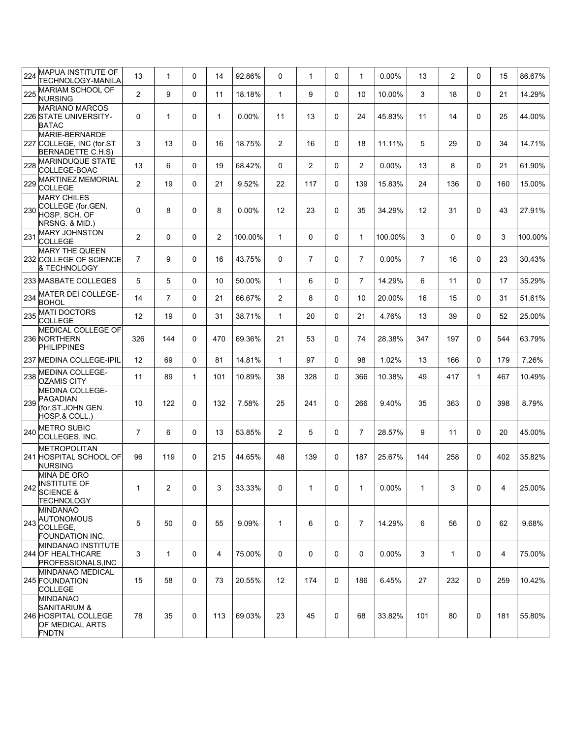| 224 | MAPUA INSTITUTE OF<br>TECHNOLOGY-MANILA                                                    | 13             | $\mathbf 1$    | 0            | 14             | 92.86%   | 0                 | 1              | 0        | 1              | $0.00\%$ | 13             | 2            | $\Omega$     | 15  | 86.67%  |
|-----|--------------------------------------------------------------------------------------------|----------------|----------------|--------------|----------------|----------|-------------------|----------------|----------|----------------|----------|----------------|--------------|--------------|-----|---------|
| 225 | MARIAM SCHOOL OF<br><b>NURSING</b>                                                         | $\overline{c}$ | 9              | 0            | 11             | 18.18%   | $\mathbf{1}$      | 9              | 0        | 10             | 10.00%   | 3              | 18           | $\Omega$     | 21  | 14.29%  |
|     | <b>MARIANO MARCOS</b><br>226 STATE UNIVERSITY-<br><b>BATAC</b>                             | 0              | 1              | 0            | $\mathbf 1$    | $0.00\%$ | 11                | 13             | 0        | 24             | 45.83%   | 11             | 14           | 0            | 25  | 44.00%  |
|     | MARIE-BERNARDE<br>227 COLLEGE, INC (for.ST<br>BERNADETTE C.H.S)                            | 3              | 13             | 0            | 16             | 18.75%   | 2                 | 16             | 0        | 18             | 11.11%   | 5              | 29           | $\Omega$     | 34  | 14.71%  |
| 228 | <b>MARINDUQUE STATE</b><br>COLLEGE-BOAC                                                    | 13             | 6              | 0            | 19             | 68.42%   | 0                 | $\overline{2}$ | $\Omega$ | $\overline{2}$ | 0.00%    | 13             | 8            | $\Omega$     | 21  | 61.90%  |
| 229 | <b>MARTINEZ MEMORIAL</b><br><b>COLLEGE</b>                                                 | $\overline{c}$ | 19             | 0            | 21             | 9.52%    | 22                | 117            | 0        | 139            | 15.83%   | 24             | 136          | $\Omega$     | 160 | 15.00%  |
| 230 | <b>MARY CHILES</b><br>COLLEGE (for.GEN.<br>HOSP. SCH. OF<br>NRSNG. & MID.)                 | 0              | 8              | 0            | 8              | $0.00\%$ | $12 \overline{ }$ | 23             | 0        | 35             | 34.29%   | 12             | 31           | 0            | 43  | 27.91%  |
| 231 | <b>MARY JOHNSTON</b><br><b>COLLEGE</b>                                                     | $\overline{2}$ | 0              | 0            | $\overline{2}$ | 100.00%  | $\mathbf{1}$      | $\Omega$       | 0        | $\mathbf{1}$   | 100.00%  | 3              | 0            | $\Omega$     | 3   | 100.00% |
|     | <b>MARY THE QUEEN</b><br>232 COLLEGE OF SCIENCE<br>& TECHNOLOGY                            | $\overline{7}$ | 9              | 0            | 16             | 43.75%   | 0                 | $\overline{7}$ | $\Omega$ | $\overline{7}$ | $0.00\%$ | $\overline{7}$ | 16           | 0            | 23  | 30.43%  |
|     | 233 MASBATE COLLEGES                                                                       | 5              | 5              | 0            | 10             | 50.00%   | $\mathbf{1}$      | 6              | $\Omega$ | $\overline{7}$ | 14.29%   | 6              | 11           | $\Omega$     | 17  | 35.29%  |
| 234 | <b>MATER DEI COLLEGE-</b><br><b>BOHOL</b>                                                  | 14             | $\overline{7}$ | 0            | 21             | 66.67%   | 2                 | 8              | 0        | 10             | 20.00%   | 16             | 15           | $\Omega$     | 31  | 51.61%  |
| 235 | <b>MATI DOCTORS</b><br><b>COLLEGE</b>                                                      | 12             | 19             | 0            | 31             | 38.71%   | $\mathbf{1}$      | 20             | $\Omega$ | 21             | 4.76%    | 13             | 39           | $\Omega$     | 52  | 25.00%  |
|     | <b>MEDICAL COLLEGE OF</b><br>236 NORTHERN<br><b>PHILIPPINES</b>                            | 326            | 144            | 0            | 470            | 69.36%   | 21                | 53             | $\Omega$ | 74             | 28.38%   | 347            | 197          | $\Omega$     | 544 | 63.79%  |
|     | 237 MEDINA COLLEGE-IPIL                                                                    | 12             | 69             | 0            | 81             | 14.81%   | $\mathbf{1}$      | 97             | $\Omega$ | 98             | 1.02%    | 13             | 166          | $\Omega$     | 179 | 7.26%   |
| 238 | <b>MEDINA COLLEGE-</b><br><b>OZAMIS CITY</b>                                               | 11             | 89             | $\mathbf{1}$ | 101            | 10.89%   | 38                | 328            | 0        | 366            | 10.38%   | 49             | 417          | $\mathbf{1}$ | 467 | 10.49%  |
| 239 | <b>MEDINA COLLEGE-</b><br><b>PAGADIAN</b><br>(for.ST.JOHN GEN.<br>HOSP.& COLL.)            | 10             | 122            | 0            | 132            | 7.58%    | 25                | 241            | $\Omega$ | 266            | 9.40%    | 35             | 363          | $\Omega$     | 398 | 8.79%   |
| 240 | <b>METRO SUBIC</b><br>COLLEGES, INC.                                                       | 7              | 6              | 0            | 13             | 53.85%   | $\overline{2}$    | 5              | 0        | $\overline{7}$ | 28.57%   | 9              | 11           | $\Omega$     | 20  | 45.00%  |
|     | <b>METROPOLITAN</b><br>241 HOSPITAL SCHOOL OF<br><b>NURSING</b>                            | 96             | 119            | 0            | 215            | 44.65%   | 48                | 139            | $\Omega$ | 187            | 25.67%   | 144            | 258          | $\Omega$     | 402 | 35.82%  |
|     | <b>MINA DE ORO</b><br>242 INSTITUTE OF<br><b>SCIENCE &amp;</b><br><b>TECHNOLOGY</b>        | $\mathbf{1}$   | $\overline{c}$ | 0            | 3              | 33.33%   | 0                 | $\mathbf{1}$   | 0        | $\mathbf{1}$   | 0.00%    | $\mathbf{1}$   | 3            | 0            | 4   | 25.00%  |
| 243 | MINDANAO<br><b>AUTONOMOUS</b><br>COLLEGE,<br>FOUNDATION INC.                               | 5              | 50             | 0            | 55             | 9.09%    | $\mathbf{1}$      | 6              | 0        | $\overline{7}$ | 14.29%   | 6              | 56           | 0            | 62  | 9.68%   |
|     | MINDANAO INSTITUTE<br><b>244 OF HEALTHCARE</b><br>PROFESSIONALS, INC                       | 3              | 1              | 0            | 4              | 75.00%   | $\mathbf 0$       | 0              | 0        | 0              | $0.00\%$ | 3              | $\mathbf{1}$ | 0            | 4   | 75.00%  |
|     | MINDANAO MEDICAL<br><b>245 FOUNDATION</b><br>COLLEGE                                       | 15             | 58             | 0            | 73             | 20.55%   | 12                | 174            | 0        | 186            | 6.45%    | 27             | 232          | 0            | 259 | 10.42%  |
|     | <b>MINDANAO</b><br>SANITARIUM &<br>246 HOSPITAL COLLEGE<br>OF MEDICAL ARTS<br><b>FNDTN</b> | 78             | 35             | 0            | 113            | 69.03%   | 23                | 45             | 0        | 68             | 33.82%   | 101            | 80           | 0            | 181 | 55.80%  |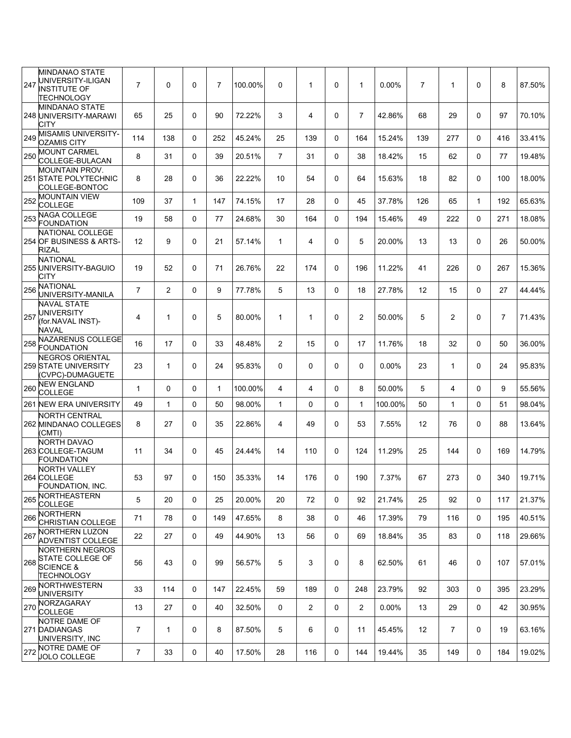|     | MINDANAO STATE                                                                   |                |              |   |                |         |                |                       |              |                |          |                |                |              |                |        |
|-----|----------------------------------------------------------------------------------|----------------|--------------|---|----------------|---------|----------------|-----------------------|--------------|----------------|----------|----------------|----------------|--------------|----------------|--------|
| 247 | UNIVERSITY-ILIGAN<br><b>INSTITUTE OF</b><br>TECHNOLOGY                           | $\overline{7}$ | $\Omega$     | 0 | $\overline{7}$ | 100.00% | $\Omega$       | 1                     | $\Omega$     | 1              | 0.00%    | $\overline{7}$ | 1              | $\Omega$     | 8              | 87.50% |
|     | <b>MINDANAO STATE</b><br>248 UNIVERSITY-MARAWI<br>CITY                           | 65             | 25           | 0 | 90             | 72.22%  | 3              | 4                     | $\mathbf 0$  | $\overline{7}$ | 42.86%   | 68             | 29             | $\Omega$     | 97             | 70.10% |
| 249 | MISAMIS UNIVERSITY-<br><b>OZAMIS CITY</b>                                        | 114            | 138          | 0 | 252            | 45.24%  | 25             | 139                   | $\Omega$     | 164            | 15.24%   | 139            | 277            | $\Omega$     | 416            | 33.41% |
| 250 | <b>MOUNT CARMEL</b><br>COLLEGE-BULACAN                                           | 8              | 31           | 0 | 39             | 20.51%  | $\overline{7}$ | 31                    | $\mathbf{0}$ | 38             | 18.42%   | 15             | 62             | $\Omega$     | 77             | 19.48% |
|     | <b>MOUNTAIN PROV.</b><br>251 STATE POLYTECHNIC<br>COLLEGE-BONTOC                 | 8              | 28           | 0 | 36             | 22.22%  | 10             | 54                    | $\mathbf 0$  | 64             | 15.63%   | 18             | 82             | 0            | 100            | 18.00% |
| 252 | <b>MOUNTAIN VIEW</b><br><b>COLLEGE</b>                                           | 109            | 37           | 1 | 147            | 74.15%  | 17             | 28                    | $\mathbf{0}$ | 45             | 37.78%   | 126            | 65             | $\mathbf{1}$ | 192            | 65.63% |
| 253 | <b>NAGA COLLEGE</b><br><b>FOUNDATION</b>                                         | 19             | 58           | 0 | 77             | 24.68%  | 30             | 164                   | $\Omega$     | 194            | 15.46%   | 49             | 222            | $\Omega$     | 271            | 18.08% |
|     | NATIONAL COLLEGE<br>254 OF BUSINESS & ARTS-<br><b>RIZAL</b>                      | 12             | 9            | 0 | 21             | 57.14%  | $\mathbf{1}$   | 4                     | 0            | 5              | 20.00%   | 13             | 13             | $\Omega$     | 26             | 50.00% |
|     | <b>NATIONAL</b><br>255 UNIVERSITY-BAGUIO<br>CITY                                 | 19             | 52           | 0 | 71             | 26.76%  | 22             | 174                   | $\mathbf 0$  | 196            | 11.22%   | 41             | 226            | 0            | 267            | 15.36% |
| 256 | <b>NATIONAL</b><br>UNIVERSITY-MANILA<br><b>NAVAL STATE</b>                       | $\overline{7}$ | 2            | 0 | 9              | 77.78%  | 5              | 13                    | $\mathbf 0$  | 18             | 27.78%   | 12             | 15             | 0            | 27             | 44.44% |
| 257 | UNIVERSITY<br>(for.NAVAL INST)-<br>NAVAL                                         | 4              | $\mathbf{1}$ | 0 | 5              | 80.00%  | $\mathbf{1}$   | 1                     | $\Omega$     | $\overline{2}$ | 50.00%   | 5              | $\overline{2}$ | $\Omega$     | $\overline{7}$ | 71.43% |
| 258 | NAZARENUS COLLEGE<br><b>FOUNDATION</b>                                           | 16             | 17           | 0 | 33             | 48.48%  | $\overline{2}$ | 15                    | $\Omega$     | 17             | 11.76%   | 18             | 32             | $\Omega$     | 50             | 36.00% |
|     | <b>NEGROS ORIENTAL</b><br>259 STATE UNIVERSITY<br>(CVPC)-DUMAGUETE               | 23             | $\mathbf{1}$ | 0 | 24             | 95.83%  | 0              | 0                     | $\mathbf 0$  | 0              | 0.00%    | 23             | $\mathbf{1}$   | $\Omega$     | 24             | 95.83% |
| 260 | <b>NEW ENGLAND</b><br><b>COLLEGE</b>                                             | $\mathbf{1}$   | 0            | 0 | 1              | 100.00% | 4              | 4                     | $\Omega$     | 8              | 50.00%   | 5              | 4              | $\Omega$     | 9              | 55.56% |
|     | 261 NEW ERA UNIVERSITY                                                           | 49             | $\mathbf{1}$ | 0 | 50             | 98.00%  | $\mathbf{1}$   | 0                     | $\Omega$     | $\mathbf{1}$   | 100.00%  | 50             | $\mathbf{1}$   | $\Omega$     | 51             | 98.04% |
|     | <b>NORTH CENTRAL</b><br>262 MINDANAO COLLEGES<br>(CMTI)                          | 8              | 27           | 0 | 35             | 22.86%  | 4              | 49                    | $\mathbf 0$  | 53             | 7.55%    | 12             | 76             | $\Omega$     | 88             | 13.64% |
|     | NORTH DAVAO<br>263 COLLEGE-TAGUM<br><b>FOUNDATION</b>                            | 11             | 34           | 0 | 45             | 24.44%  | 14             | 110                   | $\mathbf{0}$ | 124            | 11.29%   | 25             | 144            | 0            | 169            | 14.79% |
|     | <b>NORTH VALLEY</b><br>264 COLLEGE<br>FOUNDATION, INC.                           | 53             | 97           | 0 | 150            | 35.33%  | 14             | 176                   | 0            | 190            | 7.37%    | 67             | 273            | 0            | 340            | 19.71% |
| 265 | NORTHEASTERN<br><b>COLLEGE</b>                                                   | 5              | 20           | 0 | 25             | 20.00%  | 20             | 72                    | $\mathbf 0$  | 92             | 21.74%   | 25             | 92             | 0            | 117            | 21.37% |
|     | <b>NORTHERN</b><br>266 CHRISTIAN COLLEGE                                         | 71             | 78           | 0 | 149            | 47.65%  | 8              | 38                    | $\Omega$     | 46             | 17.39%   | 79             | 116            | $\Omega$     | 195            | 40.51% |
| 267 | NORTHERN LUZON<br><b>ADVENTIST COLLEGE</b>                                       | 22             | 27           | 0 | 49             | 44.90%  | 13             | 56                    | $\mathbf 0$  | 69             | 18.84%   | 35             | 83             | 0            | 118            | 29.66% |
| 268 | <b>NORTHERN NEGROS</b><br>STATE COLLEGE OF<br><b>SCIENCE &amp;</b><br>TECHNOLOGY | 56             | 43           | 0 | 99             | 56.57%  | 5              | 3                     | 0            | 8              | 62.50%   | 61             | 46             | 0            | 107            | 57.01% |
| 269 | NORTHWESTERN<br><b>UNIVERSITY</b>                                                | 33             | 114          | 0 | 147            | 22.45%  | 59             | 189                   | $\mathbf{0}$ | 248            | 23.79%   | 92             | 303            | $\Omega$     | 395            | 23.29% |
| 270 | NORZAGARAY<br><b>COLLEGE</b>                                                     | 13             | 27           | 0 | 40             | 32.50%  | $\mathbf 0$    | $\mathbf{2}^{\prime}$ | $\mathbf 0$  | $\overline{2}$ | $0.00\%$ | 13             | 29             | 0            | 42             | 30.95% |
|     | NOTRE DAME OF<br>271 DADIANGAS<br>UNIVERSITY, INC                                | $\overline{7}$ | 1            | 0 | 8              | 87.50%  | 5              | 6                     | $\mathbf 0$  | 11             | 45.45%   | 12             | $\overline{7}$ | 0            | 19             | 63.16% |
| 272 | NOTRE DAME OF<br><b>JOLO COLLEGE</b>                                             | 7              | 33           | 0 | 40             | 17.50%  | 28             | 116                   | $\mathbf 0$  | 144            | 19.44%   | 35             | 149            | 0            | 184            | 19.02% |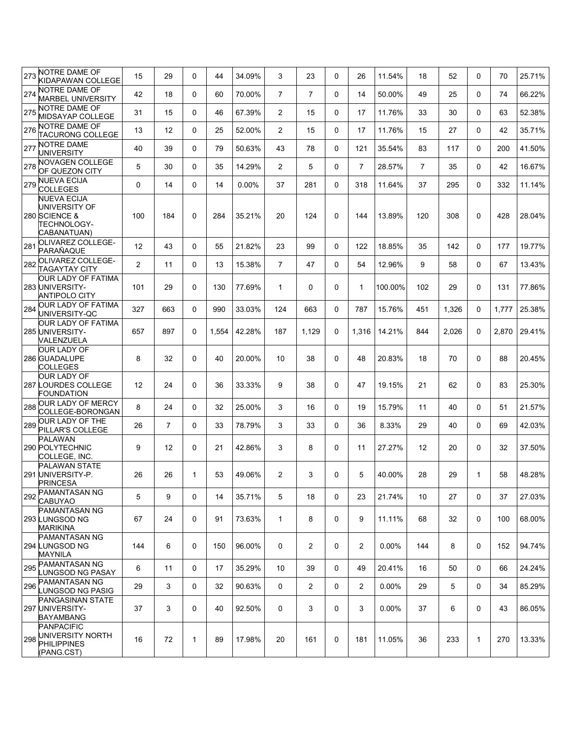| 273 | NOTRE DAME OF<br>KIDAPAWAN COLLEGE                                                 | 15             | 29             | 0            | 44    | 34.09% | 3              | 23             | $\mathbf{0}$ | 26                    | 11.54%   | 18             | 52    | $\Omega$     | 70    | 25.71% |
|-----|------------------------------------------------------------------------------------|----------------|----------------|--------------|-------|--------|----------------|----------------|--------------|-----------------------|----------|----------------|-------|--------------|-------|--------|
| 274 | NOTRE DAME OF<br><b>MARBEL UNIVERSITY</b>                                          | 42             | 18             | 0            | 60    | 70.00% | $\overline{7}$ | $\overline{7}$ | 0            | 14                    | 50.00%   | 49             | 25    | $\Omega$     | 74    | 66.22% |
| 275 | NOTRE DAME OF<br>MIDSAYAP COLLEGE                                                  | 31             | 15             | 0            | 46    | 67.39% | 2              | 15             | 0            | 17                    | 11.76%   | 33             | 30    | $\Omega$     | 63    | 52.38% |
| 276 | NOTRE DAME OF<br><b>TACURONG COLLEGE</b>                                           | 13             | 12             | 0            | 25    | 52.00% | 2              | 15             | $\mathbf{0}$ | 17                    | 11.76%   | 15             | 27    | $\Omega$     | 42    | 35.71% |
| 277 | <b>NOTRE DAME</b><br><b>UNIVERSITY</b>                                             | 40             | 39             | 0            | 79    | 50.63% | 43             | 78             | $\Omega$     | 121                   | 35.54%   | 83             | 117   | $\Omega$     | 200   | 41.50% |
| 278 | NOVAGEN COLLEGE<br>OF QUEZON CITY                                                  | 5              | 30             | 0            | 35    | 14.29% | $\overline{2}$ | 5              | $\Omega$     | $\overline{7}$        | 28.57%   | $\overline{7}$ | 35    | $\Omega$     | 42    | 16.67% |
| 279 | <b>NUEVA ECIJA</b><br><b>COLLEGES</b>                                              | 0              | 14             | 0            | 14    | 0.00%  | 37             | 281            | $\Omega$     | 318                   | 11.64%   | 37             | 295   | $\Omega$     | 332   | 11.14% |
|     | <b>NUEVA ECIJA</b><br>UNIVERSITY OF<br>280 SCIENCE &<br>TECHNOLOGY-<br>CABANATUAN) | 100            | 184            | 0            | 284   | 35.21% | 20             | 124            | $\Omega$     | 144                   | 13.89%   | 120            | 308   | $\Omega$     | 428   | 28.04% |
| 281 | OLIVAREZ COLLEGE-<br>PARAÑAQUE                                                     | 12             | 43             | 0            | 55    | 21.82% | 23             | 99             | $\mathbf 0$  | 122                   | 18.85%   | 35             | 142   | $\Omega$     | 177   | 19.77% |
| 282 | OLIVAREZ COLLEGE-<br><b>TAGAYTAY CITY</b>                                          | $\overline{2}$ | 11             | 0            | 13    | 15.38% | $\overline{7}$ | 47             | $\mathbf{0}$ | 54                    | 12.96%   | 9              | 58    | $\Omega$     | 67    | 13.43% |
|     | <b>OUR LADY OF FATIMA</b><br>283 UNIVERSITY-<br><b>ANTIPOLO CITY</b>               | 101            | 29             | 0            | 130   | 77.69% | $\mathbf{1}$   | $\Omega$       | $\Omega$     | $\mathbf{1}$          | 100.00%  | 102            | 29    | $\Omega$     | 131   | 77.86% |
| 284 | OUR LADY OF FATIMA<br>UNIVERSITY-QC                                                | 327            | 663            | 0            | 990   | 33.03% | 124            | 663            | $\mathbf{0}$ | 787                   | 15.76%   | 451            | 1,326 | $\Omega$     | 1,777 | 25.38% |
|     | <b>OUR LADY OF FATIMA</b><br>285 UNIVERSITY-<br>VALENZUELA                         | 657            | 897            | 0            | 1,554 | 42.28% | 187            | 1,129          | 0            | 1,316                 | 14.21%   | 844            | 2,026 | 0            | 2,870 | 29.41% |
|     | OUR LADY OF<br>286 GUADALUPE<br>COLLEGES                                           | 8              | 32             | 0            | 40    | 20.00% | 10             | 38             | 0            | 48                    | 20.83%   | 18             | 70    | $\Omega$     | 88    | 20.45% |
|     | <b>OUR LADY OF</b><br><b>287 LOURDES COLLEGE</b><br>FOUNDATION                     | 12             | 24             | 0            | 36    | 33.33% | 9              | 38             | $\Omega$     | 47                    | 19.15%   | 21             | 62    | $\Omega$     | 83    | 25.30% |
| 288 | <b>OUR LADY OF MERCY</b><br>COLLEGE-BORONGAN                                       | 8              | 24             | 0            | 32    | 25.00% | 3              | 16             | $\Omega$     | 19                    | 15.79%   | 11             | 40    | $\Omega$     | 51    | 21.57% |
| 289 | <b>OUR LADY OF THE</b><br>PILLAR'S COLLEGE                                         | 26             | $\overline{7}$ | 0            | 33    | 78.79% | 3              | 33             | $\mathbf 0$  | 36                    | 8.33%    | 29             | 40    | $\Omega$     | 69    | 42.03% |
|     | <b>PALAWAN</b><br>290 POLYTECHNIC<br>COLLEGE, INC.                                 | 9              | 12             | 0            | 21    | 42.86% | 3              | 8              | 0            | 11                    | 27.27%   | 12             | 20    | $\Omega$     | 32    | 37.50% |
|     | PALAWAN STATE<br>291 UNIVERSITY-P.<br><b>PRINCESA</b>                              | 26             | 26             | $\mathbf{1}$ | 53    | 49.06% | 2              | 3              | $\mathbf 0$  | 5                     | 40.00%   | 28             | 29    | $\mathbf{1}$ | 58    | 48.28% |
| 292 | <b>PAMANTASAN NG</b><br><b>CABUYAO</b>                                             | 5              | 9              | 0            | 14    | 35.71% | 5              | 18             | 0            | 23                    | 21.74%   | 10             | 27    | 0            | 37    | 27.03% |
|     | <b>PAMANTASAN NG</b><br>293 LUNGSOD NG<br><b>MARIKINA</b>                          | 67             | 24             | 0            | 91    | 73.63% | $\mathbf{1}$   | 8              | 0            | 9                     | 11.11%   | 68             | 32    | 0            | 100   | 68.00% |
|     | PAMANTASAN NG<br>294 LUNGSOD NG<br><b>MAYNILA</b>                                  | 144            | 6              | 0            | 150   | 96.00% | $\mathbf 0$    | $\overline{2}$ | 0            | $\overline{2}$        | $0.00\%$ | 144            | 8     | 0            | 152   | 94.74% |
| 295 | PAMANTASAN NG<br><b>LUNGSOD NG PASAY</b>                                           | 6              | 11             | 0            | 17    | 35.29% | 10             | 39             | $\mathbf 0$  | 49                    | 20.41%   | 16             | 50    | 0            | 66    | 24.24% |
| 296 | <b>PAMANTASAN NG</b><br>LUNGSOD NG PASIG                                           | 29             | 3              | 0            | 32    | 90.63% | 0              | $\overline{2}$ | 0            | $\mathbf{2}^{\prime}$ | $0.00\%$ | 29             | 5     | 0            | 34    | 85.29% |
|     | <b>PANGASINAN STATE</b><br>297 UNIVERSITY-<br>BAYAMBANG                            | 37             | 3              | 0            | 40    | 92.50% | 0              | 3              | 0            | 3                     | $0.00\%$ | 37             | 6     | 0            | 43    | 86.05% |
| 298 | PANPACIFIC<br>UNIVERSITY NORTH<br><b>PHILIPPINES</b><br>(PANG.CST)                 | 16             | 72             | 1            | 89    | 17.98% | 20             | 161            | 0            | 181                   | 11.05%   | 36             | 233   | $\mathbf{1}$ | 270   | 13.33% |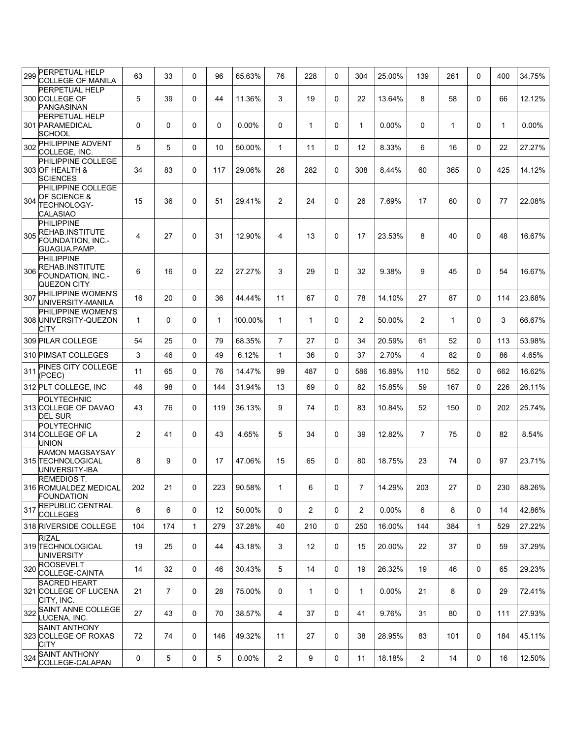| 299 | PERPETUAL HELP<br>COLLEGE OF MANILA                                                      | 63             | 33             | 0        | 96           | 65.63%   | 76             | 228          | $\Omega$     | 304            | 25.00%   | 139            | 261          | $\mathbf{0}$ | 400          | 34.75%   |
|-----|------------------------------------------------------------------------------------------|----------------|----------------|----------|--------------|----------|----------------|--------------|--------------|----------------|----------|----------------|--------------|--------------|--------------|----------|
|     | <b>PERPETUAL HELP</b><br>300 COLLEGE OF<br>PANGASINAN                                    | 5              | 39             | 0        | 44           | 11.36%   | 3              | 19           | $\Omega$     | 22             | 13.64%   | 8              | 58           | $\Omega$     | 66           | 12.12%   |
|     | <b>PERPETUAL HELP</b><br>301 PARAMEDICAL<br><b>SCHOOL</b>                                | 0              | 0              | 0        | $\mathbf{0}$ | 0.00%    | 0              | 1            | 0            | $\mathbf{1}$   | $0.00\%$ | $\mathbf{0}$   | $\mathbf{1}$ | $\mathbf{0}$ | $\mathbf{1}$ | $0.00\%$ |
| 302 | PHILIPPINE ADVENT<br>COLLEGE, INC.                                                       | 5              | 5              | 0        | 10           | 50.00%   | $\mathbf{1}$   | 11           | $\Omega$     | 12             | 8.33%    | 6              | 16           | $\Omega$     | 22           | 27.27%   |
|     | <b>PHILIPPINE COLLEGE</b><br>303 OF HEALTH &<br><b>SCIENCES</b>                          | 34             | 83             | 0        | 117          | 29.06%   | 26             | 282          | $\Omega$     | 308            | 8.44%    | 60             | 365          | $\mathbf{0}$ | 425          | 14.12%   |
| 304 | PHILIPPINE COLLEGE<br>OF SCIENCE &<br><b>TECHNOLOGY-</b><br>CALASIAO                     | 15             | 36             | 0        | 51           | 29.41%   | $\overline{2}$ | 24           | $\mathbf 0$  | 26             | 7.69%    | 17             | 60           | $\Omega$     | 77           | 22.08%   |
| 305 | <b>PHILIPPINE</b><br><b>REHAB.INSTITUTE</b><br>FOUNDATION, INC.-<br><b>GUAGUA, PAMP.</b> | $\overline{4}$ | 27             | 0        | 31           | 12.90%   | 4              | 13           | $\mathbf 0$  | 17             | 23.53%   | 8              | 40           | $\Omega$     | 48           | 16.67%   |
| 306 | <b>PHILIPPINE</b><br>REHAB.INSTITUTE<br>FOUNDATION, INC.-<br>QUEZON CITY                 | 6              | 16             | 0        | 22           | 27.27%   | 3              | 29           | $\mathbf 0$  | 32             | 9.38%    | 9              | 45           | $\Omega$     | 54           | 16.67%   |
| 307 | PHILIPPINE WOMEN'S<br>UNIVERSITY-MANILA<br>PHILIPPINE WOMEN'S                            | 16             | 20             | 0        | 36           | 44.44%   | 11             | 67           | $\Omega$     | 78             | 14.10%   | 27             | 87           | $\mathbf{0}$ | 114          | 23.68%   |
|     | 308 UNIVERSITY-QUEZON<br>CITY                                                            | $\mathbf{1}$   | 0              | 0        | 1            | 100.00%  | $\mathbf{1}$   | 1            | $\Omega$     | 2              | 50.00%   | $\overline{2}$ | $\mathbf{1}$ | $\mathbf{0}$ | 3            | 66.67%   |
|     | 309 PILAR COLLEGE                                                                        | 54             | 25             | $\Omega$ | 79           | 68.35%   | $\overline{7}$ | 27           | $\Omega$     | 34             | 20.59%   | 61             | 52           | $\Omega$     | 113          | 53.98%   |
|     | 310 PIMSAT COLLEGES                                                                      | 3              | 46             | 0        | 49           | 6.12%    | $\mathbf{1}$   | 36           | $\mathbf 0$  | 37             | 2.70%    | 4              | 82           | $\Omega$     | 86           | 4.65%    |
| 311 | PINES CITY COLLEGE<br>(PCEC)                                                             | 11             | 65             | 0        | 76           | 14.47%   | 99             | 487          | $\Omega$     | 586            | 16.89%   | 110            | 552          | $\Omega$     | 662          | 16.62%   |
|     | 312 PLT COLLEGE, INC                                                                     | 46             | 98             | 0        | 144          | 31.94%   | 13             | 69           | $\Omega$     | 82             | 15.85%   | 59             | 167          | $\Omega$     | 226          | 26.11%   |
|     | POLYTECHNIC<br>313 COLLEGE OF DAVAO<br><b>DEL SUR</b>                                    | 43             | 76             | 0        | 119          | 36.13%   | 9              | 74           | $\Omega$     | 83             | 10.84%   | 52             | 150          | $\Omega$     | 202          | 25.74%   |
|     | POLYTECHNIC<br>314 COLLEGE OF LA<br><b>UNION</b>                                         | 2              | 41             | 0        | 43           | 4.65%    | 5              | 34           | $\mathbf 0$  | 39             | 12.82%   | $\overline{7}$ | 75           | $\mathbf{0}$ | 82           | 8.54%    |
|     | <b>RAMON MAGSAYSAY</b><br>315 TECHNOLOGICAL<br>UNIVERSITY-IBA                            | 8              | 9              | 0        | 17           | 47.06%   | 15             | 65           | $\mathbf{0}$ | 80             | 18.75%   | 23             | 74           | $\mathbf{0}$ | 97           | 23.71%   |
|     | <b>REMEDIOS T.</b><br>316 ROMUALDEZ MEDICAL<br><b>FOUNDATION</b>                         | 202            | 21             | 0        | 223          | 90.58%   | 1              | 6            | 0            | $\overline{7}$ | 14.29%   | 203            | 27           | 0            | 230          | 88.26%   |
| 317 | REPUBLIC CENTRAL<br><b>COLLEGES</b>                                                      | 6              | 6              | 0        | 12           | 50.00%   | 0              | $\mathbf{2}$ | 0            | 2              | 0.00%    | 6              | 8            | 0            | 14           | 42.86%   |
|     | 318 RIVERSIDE COLLEGE                                                                    | 104            | 174            | 1        | 279          | 37.28%   | 40             | 210          | 0            | 250            | 16.00%   | 144            | 384          | $\mathbf{1}$ | 529          | 27.22%   |
|     | <b>RIZAL</b><br>319 TECHNOLOGICAL<br><b>UNIVERSITY</b>                                   | 19             | 25             | 0        | 44           | 43.18%   | 3              | 12           | 0            | 15             | 20.00%   | 22             | 37           | 0            | 59           | 37.29%   |
| 320 | <b>ROOSEVELT</b><br>COLLEGE-CAINTA                                                       | 14             | 32             | 0        | 46           | 30.43%   | 5              | 14           | 0            | 19             | 26.32%   | 19             | 46           | 0            | 65           | 29.23%   |
|     | <b>SACRED HEART</b><br>321 COLLEGE OF LUCENA<br>CITY, INC.                               | 21             | $\overline{7}$ | 0        | 28           | 75.00%   | $\mathbf 0$    | $\mathbf{1}$ | 0            | $\mathbf{1}$   | $0.00\%$ | 21             | 8            | 0            | 29           | 72.41%   |
| 322 | SAINT ANNE COLLEGE<br>LUCENA, INC.                                                       | 27             | 43             | 0        | 70           | 38.57%   | $\overline{4}$ | 37           | 0            | 41             | 9.76%    | 31             | 80           | 0            | 111          | 27.93%   |
|     | <b>SAINT ANTHONY</b><br>323 COLLEGE OF ROXAS<br>CITY                                     | 72             | 74             | 0        | 146          | 49.32%   | 11             | 27           | 0            | 38             | 28.95%   | 83             | 101          | $\Omega$     | 184          | 45.11%   |
| 324 | <b>SAINT ANTHONY</b><br>COLLEGE-CALAPAN                                                  | 0              | 5              | 0        | 5            | $0.00\%$ | $\overline{2}$ | 9            | 0            | 11             | 18.18%   | $\overline{2}$ | 14           | 0            | 16           | 12.50%   |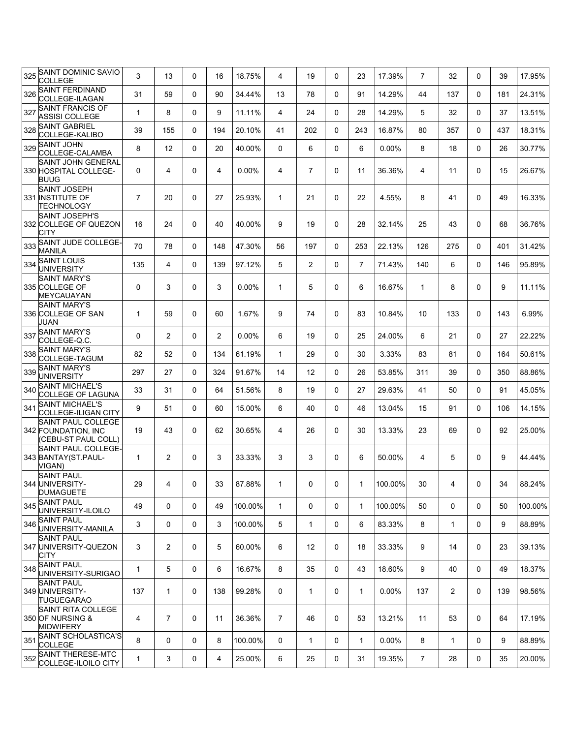| 325 | <b>SAINT DOMINIC SAVIO</b><br><b>COLLEGE</b>                     | 3              | 13             | 0            | 16  | 18.75%   | 4              | 19             | $\Omega$       | 23             | 17.39%  | $\overline{7}$ | 32             | 0            | 39  | 17.95%  |
|-----|------------------------------------------------------------------|----------------|----------------|--------------|-----|----------|----------------|----------------|----------------|----------------|---------|----------------|----------------|--------------|-----|---------|
| 326 | SAINT FERDINAND<br>COLLEGE-ILAGAN                                | 31             | 59             | 0            | 90  | 34.44%   | 13             | 78             | $\Omega$       | 91             | 14.29%  | 44             | 137            | 0            | 181 | 24.31%  |
| 327 | <b>SAINT FRANCIS OF</b><br><b>ASSISI COLLEGE</b>                 | $\mathbf{1}$   | 8              | 0            | 9   | 11.11%   | $\overline{4}$ | 24             | $\Omega$       | 28             | 14.29%  | 5              | 32             | $\Omega$     | 37  | 13.51%  |
| 328 | <b>SAINT GABRIEL</b><br>COLLEGE-KALIBO                           | 39             | 155            | 0            | 194 | 20.10%   | 41             | 202            | $\Omega$       | 243            | 16.87%  | 80             | 357            | 0            | 437 | 18.31%  |
| 329 | <b>SAINT JOHN</b><br>COLLEGE-CALAMBA                             | 8              | 12             | 0            | 20  | 40.00%   | $\Omega$       | 6              | $\Omega$       | 6              | 0.00%   | 8              | 18             | $\Omega$     | 26  | 30.77%  |
|     | SAINT JOHN GENERAL<br>330 HOSPITAL COLLEGE-<br><b>BUUG</b>       | 0              | 4              | 0            | 4   | $0.00\%$ | 4              | $\overline{7}$ | $\Omega$       | 11             | 36.36%  | 4              | 11             | 0            | 15  | 26.67%  |
|     | <b>SAINT JOSEPH</b><br>331 INSTITUTE OF<br><b>TECHNOLOGY</b>     | $\overline{7}$ | 20             | 0            | 27  | 25.93%   | $\mathbf{1}$   | 21             | $\mathbf 0$    | 22             | 4.55%   | 8              | 41             | 0            | 49  | 16.33%  |
|     | <b>SAINT JOSEPH'S</b><br>332 COLLEGE OF QUEZON<br>CITY           | 16             | 24             | 0            | 40  | 40.00%   | 9              | 19             | $\mathbf 0$    | 28             | 32.14%  | 25             | 43             | $\mathbf{0}$ | 68  | 36.76%  |
| 333 | SAINT JUDE COLLEGE-<br><b>MANILA</b>                             | 70             | 78             | 0            | 148 | 47.30%   | 56             | 197            | $\Omega$       | 253            | 22.13%  | 126            | 275            | $\Omega$     | 401 | 31.42%  |
| 334 | <b>SAINT LOUIS</b><br><b>UNIVERSITY</b>                          | 135            | 4              | 0            | 139 | 97.12%   | 5              | $\overline{2}$ | $\Omega$       | $\overline{7}$ | 71.43%  | 140            | 6              | $\Omega$     | 146 | 95.89%  |
|     | <b>SAINT MARY'S</b><br>335 COLLEGE OF<br>MEYCAUAYAN              | 0              | 3              | 0            | 3   | 0.00%    | $\mathbf{1}$   | 5              | $\mathbf 0$    | 6              | 16.67%  | $\mathbf{1}$   | 8              | $\mathbf{0}$ | 9   | 11.11%  |
|     | <b>SAINT MARY'S</b><br>336 COLLEGE OF SAN<br>JUAN                | $\mathbf{1}$   | 59             | 0            | 60  | 1.67%    | 9              | 74             | $\mathbf 0$    | 83             | 10.84%  | 10             | 133            | $\mathbf{0}$ | 143 | 6.99%   |
| 337 | <b>SAINT MARY'S</b><br>COLLEGE-Q.C.                              | 0              | $\overline{2}$ | 0            | 2   | 0.00%    | 6              | 19             | 0              | 25             | 24.00%  | 6              | 21             | $\Omega$     | 27  | 22.22%  |
| 338 | <b>SAINT MARY'S</b><br>COLLEGE-TAGUM                             | 82             | 52             | 0            | 134 | 61.19%   | $\mathbf{1}$   | 29             | $\Omega$       | 30             | 3.33%   | 83             | 81             | 0            | 164 | 50.61%  |
| 339 | <b>SAINT MARY'S</b><br><b>UNIVERSITY</b>                         | 297            | 27             | 0            | 324 | 91.67%   | 14             | 12             | $\Omega$       | 26             | 53.85%  | 311            | 39             | 0            | 350 | 88.86%  |
|     | 340 SAINT MICHAEL'S<br><b>COLLEGE OF LAGUNA</b>                  | 33             | 31             | 0            | 64  | 51.56%   | 8              | 19             | $\Omega$       | 27             | 29.63%  | 41             | 50             | 0            | 91  | 45.05%  |
| 341 | <b>SAINT MICHAEL'S</b><br>COLLEGE-ILIGAN CITY                    | 9              | 51             | 0            | 60  | 15.00%   | 6              | 40             | $\Omega$       | 46             | 13.04%  | 15             | 91             | 0            | 106 | 14.15%  |
|     | SAINT PAUL COLLEGE<br>342 FOUNDATION, INC<br>(CEBU-ST PAUL COLL) | 19             | 43             | 0            | 62  | 30.65%   | 4              | 26             | $\Omega$       | 30             | 13.33%  | 23             | 69             | 0            | 92  | 25.00%  |
|     | SAINT PAUL COLLEGE-<br>343 BANTAY(ST.PAUL-<br>VIGAN)             | $\mathbf{1}$   | 2              | 0            | 3   | 33.33%   | 3              | 3              | 0              | 6              | 50.00%  | 4              | 5              | 0            | 9   | 44.44%  |
|     | <b>SAINT PAUL</b><br>344 UNIVERSITY-<br><b>DUMAGUETE</b>         | 29             | $\overline{4}$ | $\mathsf{O}$ | 33  | 87.88%   | 1              | $\mathbf{0}$   | $\overline{0}$ | 1              | 100.00% | 30             | 4              | $\mathbf 0$  | 34  | 88.24%  |
| 345 | <b>SAINT PAUL</b><br>UNIVERSITY-ILOILO                           | 49             | 0              | 0            | 49  | 100.00%  | $\mathbf{1}$   | 0              | $\mathbf 0$    | $\mathbf{1}$   | 100.00% | 50             | 0              | $\Omega$     | 50  | 100.00% |
|     | 346 SAINT PAUL<br>UNIVERSITY-MANILA                              | 3              | 0              | 0            | 3   | 100.00%  | 5              | $\mathbf{1}$   | $\mathbf 0$    | 6              | 83.33%  | 8              | $\mathbf{1}$   | 0            | 9   | 88.89%  |
|     | <b>SAINT PAUL</b><br>347 UNIVERSITY-QUEZON<br>CITY               | 3              | $\overline{2}$ | 0            | 5   | 60.00%   | 6              | 12             | 0              | 18             | 33.33%  | 9              | 14             | 0            | 23  | 39.13%  |
|     | 348 SAINT PAUL<br>UNIVERSITY-SURIGAO                             | $\mathbf{1}$   | 5              | 0            | 6   | 16.67%   | 8              | 35             | $\mathbf 0$    | 43             | 18.60%  | 9              | 40             | 0            | 49  | 18.37%  |
|     | <b>SAINT PAUL</b><br>349 UNIVERSITY-<br><b>TUGUEGARAO</b>        | 137            | $\mathbf{1}$   | 0            | 138 | 99.28%   | $\mathbf 0$    | $\mathbf{1}$   | 0              | $\mathbf{1}$   | 0.00%   | 137            | $\overline{2}$ | $\Omega$     | 139 | 98.56%  |
|     | SAINT RITA COLLEGE<br>350 OF NURSING &<br><b>MIDWIFERY</b>       | 4              | $\overline{7}$ | 0            | 11  | 36.36%   | $\overline{7}$ | 46             | 0              | 53             | 13.21%  | 11             | 53             | 0            | 64  | 17.19%  |
| 351 | SAINT SCHOLASTICA'S<br><b>COLLEGE</b>                            | 8              | 0              | 0            | 8   | 100.00%  | $\mathbf 0$    | $\mathbf{1}$   | $\mathbf 0$    | 1              | 0.00%   | 8              | $\mathbf{1}$   | 0            | 9   | 88.89%  |
|     | 352 SAINT THERESE-MTC<br>COLLEGE-ILOILO CITY                     | $\mathbf{1}$   | 3              | 0            | 4   | 25.00%   | 6              | 25             | 0              | 31             | 19.35%  | $\overline{7}$ | 28             | 0            | 35  | 20.00%  |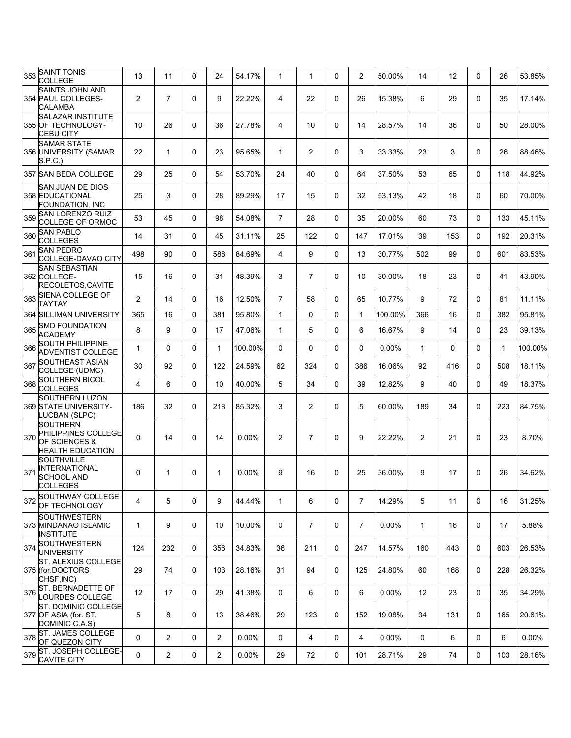| 353 | <b>SAINT TONIS</b><br><b>COLLEGE</b>                                               | 13           | 11             | 0        | 24          | 54.17%   | 1              | $\mathbf{1}$   | $\mathbf 0$ | 2              | 50.00%   | 14             | 12  | 0        | 26           | 53.85%   |
|-----|------------------------------------------------------------------------------------|--------------|----------------|----------|-------------|----------|----------------|----------------|-------------|----------------|----------|----------------|-----|----------|--------------|----------|
|     | <b>SAINTS JOHN AND</b><br>354 PAUL COLLEGES-<br><b>CALAMBA</b>                     | 2            | $\overline{7}$ | 0        | 9           | 22.22%   | 4              | 22             | $\mathbf 0$ | 26             | 15.38%   | 6              | 29  | $\Omega$ | 35           | 17.14%   |
|     | <b>SALAZAR INSTITUTE</b><br>355 OF TECHNOLOGY-<br><b>CEBU CITY</b>                 | 10           | 26             | 0        | 36          | 27.78%   | 4              | 10             | $\mathbf 0$ | 14             | 28.57%   | 14             | 36  | 0        | 50           | 28.00%   |
|     | <b>SAMAR STATE</b><br>356 UNIVERSITY (SAMAR<br>S.P.C.)                             | 22           | 1              | 0        | 23          | 95.65%   | 1              | 2              | $\mathbf 0$ | 3              | 33.33%   | 23             | 3   | 0        | 26           | 88.46%   |
|     | 357 SAN BEDA COLLEGE                                                               | 29           | 25             | 0        | 54          | 53.70%   | 24             | 40             | $\Omega$    | 64             | 37.50%   | 53             | 65  | 0        | 118          | 44.92%   |
|     | SAN JUAN DE DIOS<br>358 EDUCATIONAL<br>FOUNDATION, INC                             | 25           | 3              | 0        | 28          | 89.29%   | 17             | 15             | $\mathbf 0$ | 32             | 53.13%   | 42             | 18  | 0        | 60           | 70.00%   |
| 359 | <b>SAN LORENZO RUIZ</b><br>COLLEGE OF ORMOC                                        | 53           | 45             | 0        | 98          | 54.08%   | $\overline{7}$ | 28             | 0           | 35             | 20.00%   | 60             | 73  | 0        | 133          | 45.11%   |
|     | 360 SAN PABLO<br><b>COLLEGES</b>                                                   | 14           | 31             | 0        | 45          | 31.11%   | 25             | 122            | $\Omega$    | 147            | 17.01%   | 39             | 153 | 0        | 192          | 20.31%   |
| 361 | <b>SAN PEDRO</b><br>COLLEGE-DAVAO CITY                                             | 498          | 90             | 0        | 588         | 84.69%   | 4              | 9              | $\Omega$    | 13             | 30.77%   | 502            | 99  | $\Omega$ | 601          | 83.53%   |
|     | <b>SAN SEBASTIAN</b><br>362 COLLEGE-<br>RECOLETOS, CAVITE                          | 15           | 16             | 0        | 31          | 48.39%   | 3              | $\overline{7}$ | $\mathbf 0$ | 10             | 30.00%   | 18             | 23  | 0        | 41           | 43.90%   |
| 363 | SIENA COLLEGE OF<br><b>TAYTAY</b>                                                  | 2            | 14             | $\Omega$ | 16          | 12.50%   | $\overline{7}$ | 58             | $\Omega$    | 65             | 10.77%   | 9              | 72  | 0        | 81           | 11.11%   |
|     | 364 SILLIMAN UNIVERSITY                                                            | 365          | 16             | 0        | 381         | 95.80%   | $\mathbf{1}$   | 0              | $\mathbf 0$ | $\mathbf{1}$   | 100.00%  | 366            | 16  | 0        | 382          | 95.81%   |
| 365 | <b>SMD FOUNDATION</b><br><b>ACADEMY</b>                                            | 8            | 9              | 0        | 17          | 47.06%   | $\mathbf{1}$   | 5              | 0           | 6              | 16.67%   | 9              | 14  | 0        | 23           | 39.13%   |
| 366 | SOUTH PHILIPPINE<br><b>ADVENTIST COLLEGE</b>                                       | 1            | 0              | 0        | 1           | 100.00%  | 0              | 0              | $\mathbf 0$ | 0              | $0.00\%$ | 1              | 0   | 0        | $\mathbf{1}$ | 100.00%  |
| 367 | <b>SOUTHEAST ASIAN</b><br>COLLEGE (UDMC)                                           | 30           | 92             | 0        | 122         | 24.59%   | 62             | 324            | $\mathbf 0$ | 386            | 16.06%   | 92             | 416 | 0        | 508          | 18.11%   |
| 368 | <b>SOUTHERN BICOL</b><br><b>COLLEGES</b>                                           | 4            | 6              | 0        | 10          | 40.00%   | 5              | 34             | 0           | 39             | 12.82%   | 9              | 40  | 0        | 49           | 18.37%   |
|     | <b>SOUTHERN LUZON</b><br>369 STATE UNIVERSITY-<br>LUCBAN (SLPC)                    | 186          | 32             | 0        | 218         | 85.32%   | 3              | $\overline{c}$ | $\mathbf 0$ | 5              | 60.00%   | 189            | 34  | 0        | 223          | 84.75%   |
| 370 | <b>SOUTHERN</b><br>PHILIPPINES COLLEGE<br>OF SCIENCES &<br><b>HEALTH EDUCATION</b> | $\mathbf 0$  | 14             | 0        | 14          | $0.00\%$ | $\overline{2}$ | $\overline{7}$ | $\mathbf 0$ | 9              | 22.22%   | $\overline{2}$ | 21  | 0        | 23           | 8.70%    |
| 371 | <b>SOUTHVILLE</b><br><b>INTERNATIONAL</b><br><b>SCHOOL AND</b><br>COLLEGES         | 0            | 1              | 0        | $\mathbf 1$ | $0.00\%$ | 9              | 16             | $\Omega$    | 25             | 36.00%   | 9              | 17  | 0        | 26           | 34.62%   |
| 372 | SOUTHWAY COLLEGE<br>OF TECHNOLOGY                                                  | 4            | 5              | 0        | 9           | 44.44%   | $\mathbf{1}$   | 6              | $\mathbf 0$ | $\overline{7}$ | 14.29%   | 5              | 11  | 0        | 16           | 31.25%   |
|     | SOUTHWESTERN<br>373 MINDANAO ISLAMIC<br><b>INSTITUTE</b>                           | $\mathbf{1}$ | 9              | 0        | 10          | 10.00%   | 0              | $\overline{7}$ | $\mathbf 0$ | $\overline{7}$ | $0.00\%$ | $\mathbf{1}$   | 16  | 0        | 17           | 5.88%    |
|     | 374 SOUTHWESTERN<br><b>UNIVERSITY</b>                                              | 124          | 232            | 0        | 356         | 34.83%   | 36             | 211            | 0           | 247            | 14.57%   | 160            | 443 | 0        | 603          | 26.53%   |
|     | <b>ST. ALEXIUS COLLEGE</b><br>375 (for.DOCTORS<br>CHSF, INC)                       | 29           | 74             | 0        | 103         | 28.16%   | 31             | 94             | $\mathbf 0$ | 125            | 24.80%   | 60             | 168 | 0        | 228          | 26.32%   |
|     | 376 ST. BERNADETTE OF<br>OURDES COLLEGE                                            | 12           | 17             | 0        | 29          | 41.38%   | 0              | 6              | $\mathbf 0$ | 6              | $0.00\%$ | 12             | 23  | 0        | 35           | 34.29%   |
|     | ST. DOMINIC COLLEGE<br>377 OF ASIA (for. ST.<br>DOMINIC C.A.S)                     | 5            | 8              | 0        | 13          | 38.46%   | 29             | 123            | 0           | 152            | 19.08%   | 34             | 131 | 0        | 165          | 20.61%   |
|     | 378 ST. JAMES COLLEGE<br>OF QUEZON CITY                                            | 0            | $\overline{2}$ | 0        | 2           | $0.00\%$ | 0              | 4              | 0           | 4              | $0.00\%$ | 0              | 6   | 0        | 6            | $0.00\%$ |
|     | 379 ST. JOSEPH COLLEGE-<br><b>CAVITE CITY</b>                                      | 0            | $\overline{2}$ | 0        | 2           | $0.00\%$ | 29             | 72             | 0           | 101            | 28.71%   | 29             | 74  | 0        | 103          | 28.16%   |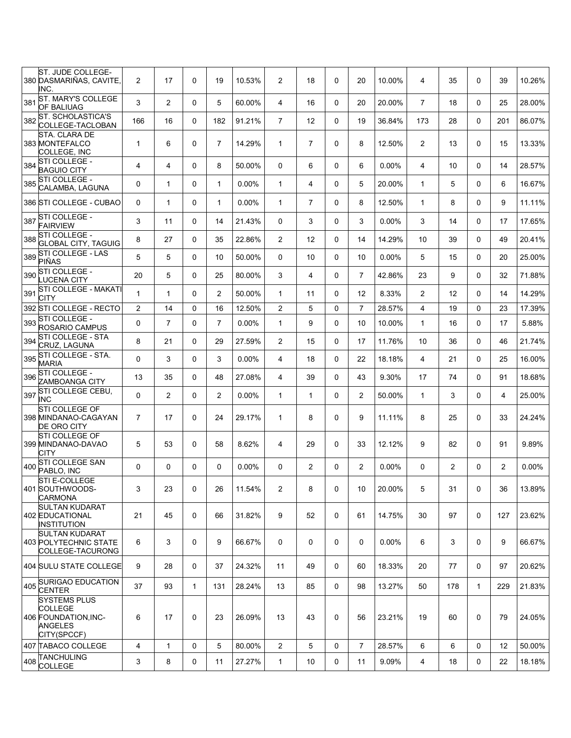| ST. JUDE COLLEGE-<br>380 DASMARIÑAS, CAVITE,<br>INC.                                    | $\overline{2}$ | 17             | 0           | 19             | 10.53%   | $\overline{2}$ | 18             | 0        | 20             | 10.00%   | 4              | 35             | 0            | 39             | 10.26% |
|-----------------------------------------------------------------------------------------|----------------|----------------|-------------|----------------|----------|----------------|----------------|----------|----------------|----------|----------------|----------------|--------------|----------------|--------|
| ST. MARY'S COLLEGE<br>381<br><b>OF BALIUAG</b>                                          | 3              | $\overline{2}$ | 0           | 5              | 60.00%   | $\overline{4}$ | 16             | $\Omega$ | 20             | 20.00%   | $\overline{7}$ | 18             | $\Omega$     | 25             | 28.00% |
| ST. SCHOLASTICA'S<br>382<br>COLLEGE-TACLOBAN                                            | 166            | 16             | 0           | 182            | 91.21%   | $\overline{7}$ | 12             | $\Omega$ | 19             | 36.84%   | 173            | 28             | 0            | 201            | 86.07% |
| STA. CLARA DE<br>383 MONTEFALCO<br><b>COLLEGE, INC</b>                                  | $\mathbf{1}$   | 6              | 0           | $\overline{7}$ | 14.29%   | $\mathbf{1}$   | $\overline{7}$ | 0        | 8              | 12.50%   | $\overline{2}$ | 13             | $\mathbf 0$  | 15             | 13.33% |
| STI COLLEGE -<br>384<br><b>BAGUIO CITY</b>                                              | 4              | $\overline{4}$ | 0           | 8              | 50.00%   | 0              | 6              | $\Omega$ | 6              | 0.00%    | 4              | 10             | $\Omega$     | 14             | 28.57% |
| STI COLLEGE -<br>385<br>CALAMBA, LAGUNA                                                 | 0              | $\mathbf{1}$   | 0           | $\mathbf 1$    | $0.00\%$ | $\mathbf{1}$   | 4              | 0        | 5              | 20.00%   | $\mathbf{1}$   | 5              | $\Omega$     | 6              | 16.67% |
| 386 STI COLLEGE - CUBAO                                                                 | 0              | $\mathbf{1}$   | 0           | $\mathbf 1$    | $0.00\%$ | $\mathbf{1}$   | $\overline{7}$ | $\Omega$ | 8              | 12.50%   | $\mathbf{1}$   | 8              | $\Omega$     | 9              | 11.11% |
| STI COLLEGE -<br>387<br><b>FAIRVIEW</b>                                                 | 3              | 11             | $\Omega$    | 14             | 21.43%   | $\mathbf 0$    | 3              | $\Omega$ | 3              | $0.00\%$ | 3              | 14             | 0            | 17             | 17.65% |
| STI COLLEGE -<br>388<br><b>GLOBAL CITY, TAGUIG</b>                                      | 8              | 27             | 0           | 35             | 22.86%   | $\overline{2}$ | 12             | 0        | 14             | 14.29%   | 10             | 39             | $\Omega$     | 49             | 20.41% |
| <b>STI COLLEGE - LAS</b><br>389<br>PIÑAS                                                | 5              | 5              | 0           | 10             | 50.00%   | 0              | 10             | 0        | 10             | $0.00\%$ | 5              | 15             | $\mathbf 0$  | 20             | 25.00% |
| STI COLLEGE -<br>390<br>LUCENA CITY                                                     | 20             | 5              | 0           | 25             | 80.00%   | 3              | 4              | $\Omega$ | $\overline{7}$ | 42.86%   | 23             | 9              | $\Omega$     | 32             | 71.88% |
| STI COLLEGE - MAKATI<br>391<br>CITY                                                     | 1              | $\mathbf{1}$   | $\Omega$    | $\overline{2}$ | 50.00%   | $\mathbf{1}$   | 11             | $\Omega$ | 12             | 8.33%    | $\overline{2}$ | 12             | $\Omega$     | 14             | 14.29% |
| 392 STI COLLEGE - RECTO                                                                 | 2              | 14             | 0           | 16             | 12.50%   | 2              | 5              | 0        | $\overline{7}$ | 28.57%   | 4              | 19             | $\Omega$     | 23             | 17.39% |
| 393 STI COLLEGE -<br>ROSARIO CAMPUS                                                     | 0              | $\overline{7}$ | 0           | $\overline{7}$ | $0.00\%$ | $\mathbf{1}$   | 9              | 0        | 10             | 10.00%   | $\mathbf{1}$   | 16             | $\Omega$     | 17             | 5.88%  |
| STI COLLEGE - STA<br>394<br>CRUZ, LAGUNA                                                | 8              | 21             | 0           | 29             | 27.59%   | $\overline{2}$ | 15             | $\Omega$ | 17             | 11.76%   | 10             | 36             | $\Omega$     | 46             | 21.74% |
| STI COLLEGE - STA.<br>395<br><b>MARIA</b>                                               | 0              | 3              | 0           | 3              | 0.00%    | 4              | 18             | $\Omega$ | 22             | 18.18%   | 4              | 21             | $\Omega$     | 25             | 16.00% |
| STI COLLEGE -<br>396<br>ZAMBOANGA CITY                                                  | 13             | 35             | 0           | 48             | 27.08%   | 4              | 39             | $\Omega$ | 43             | 9.30%    | 17             | 74             | $\Omega$     | 91             | 18.68% |
| STI COLLEGE CEBU,<br>397<br>INC                                                         | 0              | $\overline{2}$ | 0           | $\overline{2}$ | $0.00\%$ | $\mathbf{1}$   | $\mathbf{1}$   | 0        | $\overline{c}$ | 50.00%   | 1              | 3              | $\Omega$     | 4              | 25.00% |
| <b>STI COLLEGE OF</b><br>398 MINDANAO-CAGAYAN<br><b>DE ORO CITY</b>                     | $\overline{7}$ | 17             | 0           | 24             | 29.17%   | $\mathbf{1}$   | 8              | $\Omega$ | 9              | 11.11%   | 8              | 25             | $\Omega$     | 33             | 24.24% |
| <b>STI COLLEGE OF</b><br>399 MINDANAO-DAVAO<br>CITY                                     | 5              | 53             | 0           | 58             | 8.62%    | 4              | 29             | 0        | 33             | 12.12%   | 9              | 82             | $\Omega$     | 91             | 9.89%  |
| STI COLLEGE SAN<br>400<br>PABLO, INC                                                    | 0              | $\Omega$       | 0           | 0              | 0.00%    | 0              | $\overline{2}$ | $\Omega$ | $\overline{2}$ | $0.00\%$ | $\Omega$       | $\overline{2}$ | $\Omega$     | $\overline{2}$ | 0.00%  |
| STI E-COLLEGE<br>401 SOUTHWOODS-<br><b>CARMONA</b>                                      | 3              | 23             | 0           | 26             | 11.54%   | $\overline{2}$ | 8              | 0        | 10             | 20.00%   | 5              | 31             | $\mathbf 0$  | 36             | 13.89% |
| <b>SULTAN KUDARAT</b><br><b>402 EDUCATIONAL</b><br><b>INSTITUTION</b>                   | 21             | 45             | 0           | 66             | 31.82%   | 9              | 52             | 0        | 61             | 14.75%   | 30             | 97             | $\mathbf 0$  | 127            | 23.62% |
| <b>SULTAN KUDARAT</b><br>403 POLYTECHNIC STATE<br>COLLEGE-TACURONG                      | 6              | 3              | 0           | 9              | 66.67%   | 0              | 0              | 0        | 0              | $0.00\%$ | 6              | 3              | $\mathbf 0$  | 9              | 66.67% |
| <b>404 SULU STATE COLLEGE</b>                                                           | 9              | 28             | 0           | 37             | 24.32%   | 11             | 49             | 0        | 60             | 18.33%   | 20             | 77             | $\mathbf 0$  | 97             | 20.62% |
| 405 SURIGAO EDUCATION<br>CENTER                                                         | 37             | 93             | 1           | 131            | 28.24%   | 13             | 85             | 0        | 98             | 13.27%   | 50             | 178            | $\mathbf{1}$ | 229            | 21.83% |
| <b>SYSTEMS PLUS</b><br><b>COLLEGE</b><br>406 FOUNDATION, INC-<br>ANGELES<br>CITY(SPCCF) | 6              | 17             | $\mathbf 0$ | 23             | 26.09%   | 13             | 43             | 0        | 56             | 23.21%   | 19             | 60             | $\mathbf 0$  | 79             | 24.05% |
| 407 TABACO COLLEGE                                                                      | 4              | $\mathbf{1}$   | 0           | 5              | 80.00%   | 2              | 5              | 0        | $\overline{7}$ | 28.57%   | 6              | 6              | $\mathbf 0$  | 12             | 50.00% |
| 408 TANCHULING<br><b>COLLEGE</b>                                                        | 3              | 8              | 0           | 11             | 27.27%   | $\mathbf{1}$   | 10             | 0        | 11             | 9.09%    | 4              | 18             | 0            | 22             | 18.18% |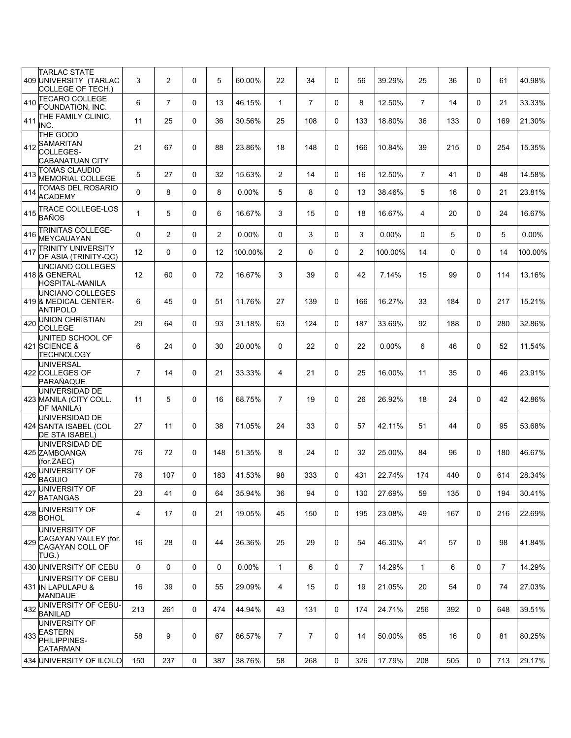|     | <b>TARLAC STATE</b><br>409 UNIVERSITY (TARLAC<br>COLLEGE OF TECH.)           | 3              | $\overline{c}$ | 0 | 5              | 60.00%  | 22             | 34             | $\mathbf 0$ | 56             | 39.29%   | 25             | 36       | 0        | 61             | 40.98%  |
|-----|------------------------------------------------------------------------------|----------------|----------------|---|----------------|---------|----------------|----------------|-------------|----------------|----------|----------------|----------|----------|----------------|---------|
| 410 | <b>TECARO COLLEGE</b><br>FOUNDATION, INC.                                    | 6              | $\overline{7}$ | 0 | 13             | 46.15%  | $\mathbf{1}$   | $\overline{7}$ | $\mathbf 0$ | 8              | 12.50%   | $\overline{7}$ | 14       | $\Omega$ | 21             | 33.33%  |
| 411 | THE FAMILY CLINIC,<br>INC.                                                   | 11             | 25             | 0 | 36             | 30.56%  | 25             | 108            | $\mathbf 0$ | 133            | 18.80%   | 36             | 133      | $\Omega$ | 169            | 21.30%  |
| 412 | THE GOOD<br><b>SAMARITAN</b><br>COLLEGES-<br><b>CABANATUAN CITY</b>          | 21             | 67             | 0 | 88             | 23.86%  | 18             | 148            | $\mathbf 0$ | 166            | 10.84%   | 39             | 215      | $\Omega$ | 254            | 15.35%  |
| 413 | <b>TOMAS CLAUDIO</b><br><b>MEMORIAL COLLEGE</b>                              | 5              | 27             | 0 | 32             | 15.63%  | 2              | 14             | $\mathbf 0$ | 16             | 12.50%   | $\overline{7}$ | 41       | 0        | 48             | 14.58%  |
| 414 | TOMAS DEL ROSARIO<br><b>ACADEMY</b>                                          | 0              | 8              | 0 | 8              | 0.00%   | 5              | 8              | $\mathbf 0$ | 13             | 38.46%   | 5              | 16       | $\Omega$ | 21             | 23.81%  |
| 415 | <b>TRACE COLLEGE-LOS</b><br>BAÑOS                                            | $\mathbf{1}$   | 5              | 0 | 6              | 16.67%  | 3              | 15             | $\mathbf 0$ | 18             | 16.67%   | 4              | 20       | 0        | 24             | 16.67%  |
| 416 | TRINITAS COLLEGE-<br><b>MEYCAUAYAN</b>                                       | 0              | $\overline{2}$ | 0 | $\overline{2}$ | 0.00%   | 0              | 3              | 0           | 3              | 0.00%    | $\mathbf{0}$   | 5        | 0        | 5              | 0.00%   |
| 417 | <b>TRINITY UNIVERSITY</b><br>OF ASIA (TRINITY-QC)                            | 12             | 0              | 0 | 12             | 100.00% | 2              | 0              | $\mathbf 0$ | 2              | 100.00%  | 14             | $\Omega$ | $\Omega$ | 14             | 100.00% |
|     | UNCIANO COLLEGES<br>418 & GENERAL<br><b>HOSPITAL-MANILA</b>                  | 12             | 60             | 0 | 72             | 16.67%  | 3              | 39             | $\mathbf 0$ | 42             | 7.14%    | 15             | 99       | 0        | 114            | 13.16%  |
|     | UNCIANO COLLEGES<br>419 & MEDICAL CENTER-<br>ANTIPOLO                        | 6              | 45             | 0 | 51             | 11.76%  | 27             | 139            | $\mathbf 0$ | 166            | 16.27%   | 33             | 184      | 0        | 217            | 15.21%  |
| 420 | <b>UNION CHRISTIAN</b><br><b>COLLEGE</b>                                     | 29             | 64             | 0 | 93             | 31.18%  | 63             | 124            | 0           | 187            | 33.69%   | 92             | 188      | 0        | 280            | 32.86%  |
|     | UNITED SCHOOL OF<br>421 SCIENCE &<br>TECHNOLOGY                              | 6              | 24             | 0 | 30             | 20.00%  | $\mathbf 0$    | 22             | $\mathbf 0$ | 22             | $0.00\%$ | 6              | 46       | 0        | 52             | 11.54%  |
|     | UNIVERSAL<br>422 COLLEGES OF<br>PARAÑAQUE                                    | $\overline{7}$ | 14             | 0 | 21             | 33.33%  | 4              | 21             | $\mathbf 0$ | 25             | 16.00%   | 11             | 35       | $\Omega$ | 46             | 23.91%  |
|     | UNIVERSIDAD DE<br>423 MANILA (CITY COLL.<br>OF MANILA)                       | 11             | 5              | 0 | 16             | 68.75%  | $\overline{7}$ | 19             | $\mathbf 0$ | 26             | 26.92%   | 18             | 24       | 0        | 42             | 42.86%  |
|     | UNIVERSIDAD DE<br>424 SANTA ISABEL (COL<br>DE STA ISABEL)                    | 27             | 11             | 0 | 38             | 71.05%  | 24             | 33             | $\mathbf 0$ | 57             | 42.11%   | 51             | 44       | 0        | 95             | 53.68%  |
|     | UNIVERSIDAD DE<br>425 ZAMBOANGA<br>(for.ZAEC)                                | 76             | 72             | 0 | 148            | 51.35%  | 8              | 24             | $\mathbf 0$ | 32             | 25.00%   | 84             | 96       | 0        | 180            | 46.67%  |
| 426 | UNIVERSITY OF<br><b>BAGUIO</b>                                               | 76             | 107            | 0 | 183            | 41.53%  | 98             | 333            | 0           | 431            | 22.74%   | 174            | 440      | 0        | 614            | 28.34%  |
| 427 | UNIVERSITY OF<br><b>BATANGAS</b>                                             | 23             | 41             | 0 | 64             | 35.94%  | 36             | 94             | $\mathbf 0$ | 130            | 27.69%   | 59             | 135      | 0        | 194            | 30.41%  |
| 428 | UNIVERSITY OF<br><b>BOHOL</b>                                                | 4              | 17             | 0 | 21             | 19.05%  | 45             | 150            | $\mathbf 0$ | 195            | 23.08%   | 49             | 167      | 0        | 216            | 22.69%  |
|     | UNIVERSITY OF<br>429 CAGAYAN VALLEY (for.<br><b>CAGAYAN COLL OF</b><br>TUG.) | 16             | 28             | 0 | 44             | 36.36%  | 25             | 29             | $\mathbf 0$ | 54             | 46.30%   | 41             | 57       | 0        | 98             | 41.84%  |
|     | 430 UNIVERSITY OF CEBU                                                       | 0              | 0              | 0 | $\mathbf 0$    | 0.00%   | $\mathbf{1}$   | 6              | $\mathbf 0$ | $\overline{7}$ | 14.29%   | $\mathbf{1}$   | 6        | 0        | $\overline{7}$ | 14.29%  |
|     | UNIVERSITY OF CEBU<br>431 IN LAPULAPU &<br><b>MANDAUE</b>                    | 16             | 39             | 0 | 55             | 29.09%  | 4              | 15             | $\mathbf 0$ | 19             | 21.05%   | 20             | 54       | 0        | 74             | 27.03%  |
| 432 | UNIVERSITY OF CEBU-<br><b>BANILAD</b>                                        | 213            | 261            | 0 | 474            | 44.94%  | 43             | 131            | 0           | 174            | 24.71%   | 256            | 392      | 0        | 648            | 39.51%  |
|     | UNIVERSITY OF<br>433 EASTERN<br>PHILIPPINES-<br><b>CATARMAN</b>              | 58             | 9              | 0 | 67             | 86.57%  | $\overline{7}$ | $\overline{7}$ | $\mathbf 0$ | 14             | 50.00%   | 65             | 16       | 0        | 81             | 80.25%  |
|     | 434 UNIVERSITY OF ILOILO                                                     | 150            | 237            | 0 | 387            | 38.76%  | 58             | 268            | $\mathbf 0$ | 326            | 17.79%   | 208            | 505      | 0        | 713            | 29.17%  |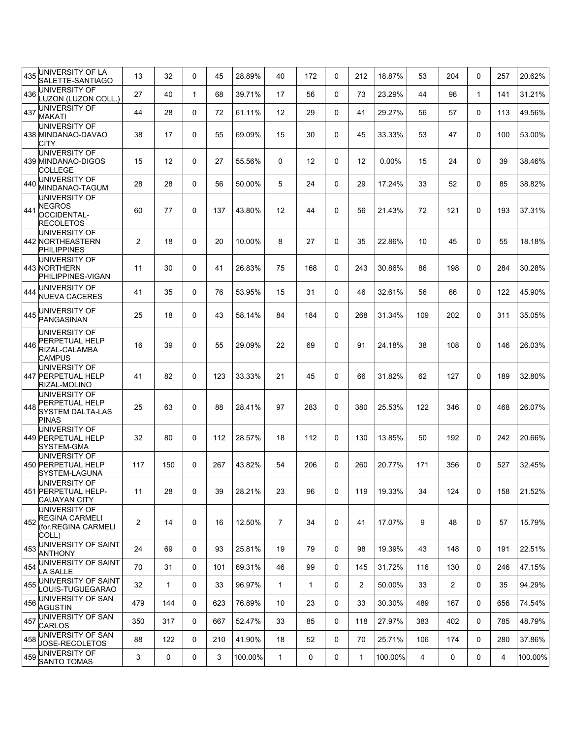| 435 | UNIVERSITY OF LA<br>SALETTE-SANTIAGO                                       | 13             | 32           | 0            | 45  | 28.89%  | 40                | 172          | 0        | 212            | 18.87%  | 53  | 204            | $\Omega$     | 257 | 20.62%  |
|-----|----------------------------------------------------------------------------|----------------|--------------|--------------|-----|---------|-------------------|--------------|----------|----------------|---------|-----|----------------|--------------|-----|---------|
| 436 | JNIVERSITY OF<br><b>UZON (LUZON COLL.)</b>                                 | 27             | 40           | $\mathbf{1}$ | 68  | 39.71%  | 17                | 56           | 0        | 73             | 23.29%  | 44  | 96             | 1            | 141 | 31.21%  |
| 437 | UNIVERSITY OF<br><b>MAKATI</b>                                             | 44             | 28           | 0            | 72  | 61.11%  | 12                | 29           | 0        | 41             | 29.27%  | 56  | 57             | $\Omega$     | 113 | 49.56%  |
|     | UNIVERSITY OF<br>438 MINDANAO-DAVAO<br>CITY                                | 38             | 17           | 0            | 55  | 69.09%  | 15                | 30           | 0        | 45             | 33.33%  | 53  | 47             | $\Omega$     | 100 | 53.00%  |
|     | UNIVERSITY OF<br>439 MINDANAO-DIGOS<br><b>COLLEGE</b>                      | 15             | 12           | $\mathbf 0$  | 27  | 55.56%  | 0                 | 12           | $\Omega$ | 12             | 0.00%   | 15  | 24             | $\Omega$     | 39  | 38.46%  |
| 440 | UNIVERSITY OF<br>MINDANAO-TAGUM                                            | 28             | 28           | 0            | 56  | 50.00%  | 5                 | 24           | $\Omega$ | 29             | 17.24%  | 33  | 52             | $\Omega$     | 85  | 38.82%  |
| 441 | UNIVERSITY OF<br>NEGROS<br><b>OCCIDENTAL-</b><br>RECOLETOS                 | 60             | 77           | $\mathbf 0$  | 137 | 43.80%  | $12 \overline{ }$ | 44           | 0        | 56             | 21.43%  | 72  | 121            | $\Omega$     | 193 | 37.31%  |
|     | UNIVERSITY OF<br>442 NORTHEASTERN<br><b>PHILIPPINES</b>                    | $\overline{c}$ | 18           | 0            | 20  | 10.00%  | 8                 | 27           | 0        | 35             | 22.86%  | 10  | 45             | $\Omega$     | 55  | 18.18%  |
|     | UNIVERSITY OF<br>443 NORTHERN<br>PHILIPPINES-VIGAN                         | 11             | 30           | $\mathbf 0$  | 41  | 26.83%  | 75                | 168          | 0        | 243            | 30.86%  | 86  | 198            | $\mathbf{0}$ | 284 | 30.28%  |
| 444 | UNIVERSITY OF<br><b>NUEVA CACERES</b>                                      | 41             | 35           | 0            | 76  | 53.95%  | 15                | 31           | 0        | 46             | 32.61%  | 56  | 66             | $\mathbf{0}$ | 122 | 45.90%  |
| 445 | UNIVERSITY OF<br>PANGASINAN                                                | 25             | 18           | $\mathbf 0$  | 43  | 58.14%  | 84                | 184          | $\Omega$ | 268            | 31.34%  | 109 | 202            | $\Omega$     | 311 | 35.05%  |
| 446 | UNIVERSITY OF<br>PERPETUAL HELP<br>RIZAL-CALAMBA<br><b>CAMPUS</b>          | 16             | 39           | $\mathbf 0$  | 55  | 29.09%  | 22                | 69           | 0        | 91             | 24.18%  | 38  | 108            | 0            | 146 | 26.03%  |
|     | UNIVERSITY OF<br>447 PERPETUAL HELP<br>RIZAL-MOLINO                        | 41             | 82           | $\mathbf 0$  | 123 | 33.33%  | 21                | 45           | 0        | 66             | 31.82%  | 62  | 127            | 0            | 189 | 32.80%  |
| 448 | UNIVERSITY OF<br>PERPETUAL HELP<br><b>SYSTEM DALTA-LAS</b><br><b>PINAS</b> | 25             | 63           | $\mathbf 0$  | 88  | 28.41%  | 97                | 283          | $\Omega$ | 380            | 25.53%  | 122 | 346            | $\Omega$     | 468 | 26.07%  |
|     | UNIVERSITY OF<br>449 PERPETUAL HELP<br>SYSTEM-GMA                          | 32             | 80           | $\mathbf 0$  | 112 | 28.57%  | 18                | 112          | 0        | 130            | 13.85%  | 50  | 192            | $\mathbf{0}$ | 242 | 20.66%  |
|     | UNIVERSITY OF<br>450 PERPETUAL HELP<br>SYSTEM-LAGUNA                       | 117            | 150          | $\mathbf 0$  | 267 | 43.82%  | 54                | 206          | $\Omega$ | 260            | 20.77%  | 171 | 356            | $\Omega$     | 527 | 32.45%  |
|     | UNIVERSITY OF<br>451 PERPETUAL HELP-<br><b>CAUAYAN CITY</b>                | 11             | 28           | $\mathbf 0$  | 39  | 28.21%  | 23                | 96           | $\Omega$ | 119            | 19.33%  | 34  | 124            | $\Omega$     | 158 | 21.52%  |
| 452 | UNIVERSITY OF<br>REGINA CARMELI<br>(for.REGINA CARMELI<br>COLL)            | 2              | 14           | 0            | 16  | 12.50%  | $\overline{7}$    | 34           | 0        | 41             | 17.07%  | 9   | 48             | $\Omega$     | 57  | 15.79%  |
|     | 453 UNIVERSITY OF SAINT<br><b>ANTHONY</b>                                  | 24             | 69           | 0            | 93  | 25.81%  | 19                | 79           | 0        | 98             | 19.39%  | 43  | 148            | 0            | 191 | 22.51%  |
| 454 | UNIVERSITY OF SAINT<br>LA SALLE                                            | 70             | 31           | 0            | 101 | 69.31%  | 46                | 99           | 0        | 145            | 31.72%  | 116 | 130            | 0            | 246 | 47.15%  |
|     | 455 UNIVERSITY OF SAINT<br>LOUIS-TUGUEGARAO                                | 32             | $\mathbf{1}$ | 0            | 33  | 96.97%  | $\mathbf{1}$      | $\mathbf{1}$ | 0        | $\overline{2}$ | 50.00%  | 33  | $\overline{2}$ | 0            | 35  | 94.29%  |
|     | 456 UNIVERSITY OF SAN<br><b>AGUSTIN</b>                                    | 479            | 144          | 0            | 623 | 76.89%  | 10                | 23           | 0        | 33             | 30.30%  | 489 | 167            | 0            | 656 | 74.54%  |
| 457 | UNIVERSITY OF SAN<br><b>CARLOS</b>                                         | 350            | 317          | 0            | 667 | 52.47%  | 33                | 85           | 0        | 118            | 27.97%  | 383 | 402            | $\Omega$     | 785 | 48.79%  |
|     | 458 UNIVERSITY OF SAN<br>JOSE-RECOLETOS                                    | 88             | 122          | 0            | 210 | 41.90%  | 18                | 52           | 0        | 70             | 25.71%  | 106 | 174            | 0            | 280 | 37.86%  |
|     | 459 UNIVERSITY OF<br><b>SANTO TOMAS</b>                                    | 3              | 0            | 0            | 3   | 100.00% | $\mathbf{1}$      | 0            | 0        | $\mathbf{1}$   | 100.00% | 4   | 0              | $\mathsf{O}$ | 4   | 100.00% |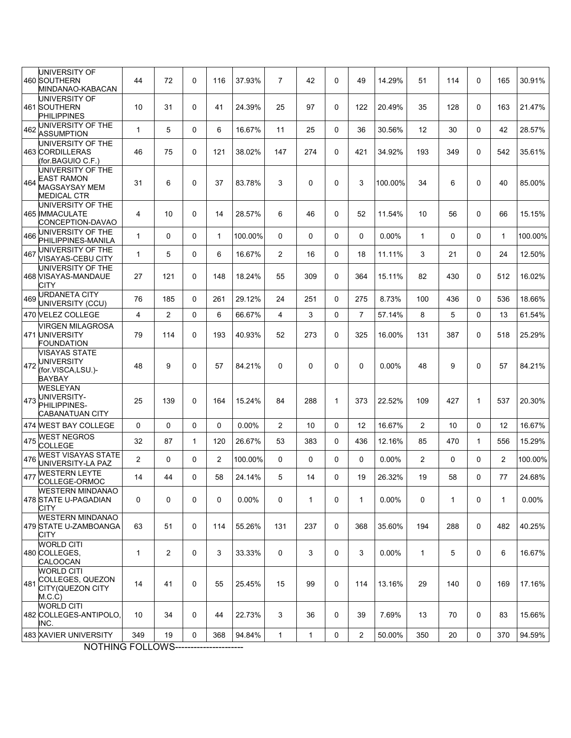|     | UNIVERSITY OF<br>460 SOUTHERN<br>MINDANAO-KABACAN                        | 44           | 72             | 0 | 116 | 37.93%  | $\overline{7}$ | 42           | $\mathbf 0$  | 49             | 14.29%   | 51             | 114          | 0            | 165            | 30.91%  |
|-----|--------------------------------------------------------------------------|--------------|----------------|---|-----|---------|----------------|--------------|--------------|----------------|----------|----------------|--------------|--------------|----------------|---------|
|     | UNIVERSITY OF<br>461 SOUTHERN<br><b>PHILIPPINES</b>                      | 10           | 31             | 0 | 41  | 24.39%  | 25             | 97           | $\mathbf 0$  | 122            | 20.49%   | 35             | 128          | 0            | 163            | 21.47%  |
| 462 | UNIVERSITY OF THE<br><b>ASSUMPTION</b>                                   | 1            | 5              | 0 | 6   | 16.67%  | 11             | 25           | 0            | 36             | 30.56%   | 12             | 30           | $\Omega$     | 42             | 28.57%  |
|     | UNIVERSITY OF THE<br>463 CORDILLERAS<br>(for.BAGUIO C.F.)                | 46           | 75             | 0 | 121 | 38.02%  | 147            | 274          | 0            | 421            | 34.92%   | 193            | 349          | 0            | 542            | 35.61%  |
| 464 | UNIVERSITY OF THE<br>EAST RAMON<br>MAGSAYSAY MEM<br><b>MEDICAL CTR</b>   | 31           | 6              | 0 | 37  | 83.78%  | 3              | 0            | 0            | 3              | 100.00%  | 34             | 6            | $\Omega$     | 40             | 85.00%  |
|     | UNIVERSITY OF THE<br>465 IMMACULATE<br>CONCEPTION-DAVAO                  | 4            | 10             | 0 | 14  | 28.57%  | 6              | 46           | $\mathbf 0$  | 52             | 11.54%   | 10             | 56           | 0            | 66             | 15.15%  |
| 466 | UNIVERSITY OF THE<br>PHILIPPINES-MANILA                                  | $\mathbf{1}$ | 0              | 0 | 1   | 100.00% | $\mathbf 0$    | $\Omega$     | 0            | 0              | 0.00%    | $\mathbf{1}$   | 0            | $\Omega$     | $\mathbf{1}$   | 100.00% |
| 467 | UNIVERSITY OF THE<br>VISAYAS-CEBU CITY                                   | 1            | 5              | 0 | 6   | 16.67%  | $\overline{2}$ | 16           | $\mathbf 0$  | 18             | 11.11%   | 3              | 21           | $\Omega$     | 24             | 12.50%  |
|     | UNIVERSITY OF THE<br>468 VISAYAS-MANDAUE<br>CITY                         | 27           | 121            | 0 | 148 | 18.24%  | 55             | 309          | $\mathbf 0$  | 364            | 15.11%   | 82             | 430          | 0            | 512            | 16.02%  |
| 469 | URDANETA CITY<br>UNIVERSITY (CCU)                                        | 76           | 185            | 0 | 261 | 29.12%  | 24             | 251          | $\mathbf 0$  | 275            | 8.73%    | 100            | 436          | $\Omega$     | 536            | 18.66%  |
|     | 470 VELEZ COLLEGE                                                        | 4            | 2              | 0 | 6   | 66.67%  | 4              | 3            | $\mathbf 0$  | $\overline{7}$ | 57.14%   | 8              | 5            | 0            | 13             | 61.54%  |
|     | <b>VIRGEN MILAGROSA</b><br>471 UNIVERSITY<br>FOUNDATION                  | 79           | 114            | 0 | 193 | 40.93%  | 52             | 273          | 0            | 325            | 16.00%   | 131            | 387          | 0            | 518            | 25.29%  |
| 472 | <b>VISAYAS STATE</b><br><b>UNIVERSITY</b><br>(for.VISCA,LSU.)-<br>BAYBAY | 48           | 9              | 0 | 57  | 84.21%  | 0              | 0            | $\mathbf 0$  | 0              | $0.00\%$ | 48             | 9            | 0            | 57             | 84.21%  |
|     | WESLEYAN<br>UNIVERSITY-<br>473 PHILIPPINES-<br>CABANATUAN CITY           | 25           | 139            | 0 | 164 | 15.24%  | 84             | 288          | $\mathbf{1}$ | 373            | 22.52%   | 109            | 427          | 1            | 537            | 20.30%  |
|     | 474 WEST BAY COLLEGE                                                     | 0            | 0              | 0 | 0   | 0.00%   | $\overline{2}$ | 10           | $\mathbf 0$  | 12             | 16.67%   | $\overline{2}$ | 10           | 0            | 12             | 16.67%  |
| 475 | WEST NEGROS<br><b>COLLEGE</b>                                            | 32           | 87             | 1 | 120 | 26.67%  | 53             | 383          | 0            | 436            | 12.16%   | 85             | 470          | $\mathbf{1}$ | 556            | 15.29%  |
| 476 | <b>WEST VISAYAS STATE</b><br>UNIVERSITY-LA PAZ                           | 2            | 0              | 0 | 2   | 100.00% | 0              | 0            | 0            | 0              | $0.00\%$ | $\overline{2}$ | 0            | 0            | $\overline{2}$ | 100.00% |
| 477 | <b>WESTERN LEYTE</b><br>COLLEGE-ORMOC                                    | 14           | 44             | 0 | 58  | 24.14%  | 5              | 14           | $\mathbf 0$  | 19             | 26.32%   | 19             | 58           | 0            | 77             | 24.68%  |
|     | <b>WESTERN MINDANAO</b><br>478 STATE U-PAGADIAN<br>CITY                  | 0            | 0              | 0 | 0   | 0.00%   | 0              | $\mathbf{1}$ | 0            | 1              | 0.00%    | 0              | $\mathbf{1}$ | 0            | $\mathbf{1}$   | 0.00%   |
|     | <b>WESTERN MINDANAO</b><br>479 STATE U-ZAMBOANGA<br>CITY                 | 63           | 51             | 0 | 114 | 55.26%  | 131            | 237          | $\mathbf 0$  | 368            | 35.60%   | 194            | 288          | 0            | 482            | 40.25%  |
|     | <b>WORLD CITI</b><br>480 COLLEGES,<br>CALOOCAN                           | 1            | $\overline{2}$ | 0 | 3   | 33.33%  | 0              | 3            | 0            | 3              | $0.00\%$ | $\mathbf{1}$   | 5            | 0            | 6              | 16.67%  |
| 481 | <b>WORLD CITI</b><br>COLLEGES, QUEZON<br>CITY (QUEZON CITY<br>M.C.C)     | 14           | 41             | 0 | 55  | 25.45%  | 15             | 99           | 0            | 114            | 13.16%   | 29             | 140          | 0            | 169            | 17.16%  |
|     | <b>WORLD CITI</b><br>482 COLLEGES-ANTIPOLO,<br>INC.                      | 10           | 34             | 0 | 44  | 22.73%  | 3              | 36           | 0            | 39             | 7.69%    | 13             | 70           | 0            | 83             | 15.66%  |
|     | 483 XAVIER UNIVERSITY                                                    | 349          | 19             | 0 | 368 | 94.84%  | $\mathbf{1}$   | 1            | 0            | $\mathbf{2}$   | 50.00%   | 350            | 20           | 0            | 370            | 94.59%  |
|     | MOTHING FOLLOWS                                                          |              |                |   |     |         |                |              |              |                |          |                |              |              |                |         |

NOTHING FOLLOWS----------------------